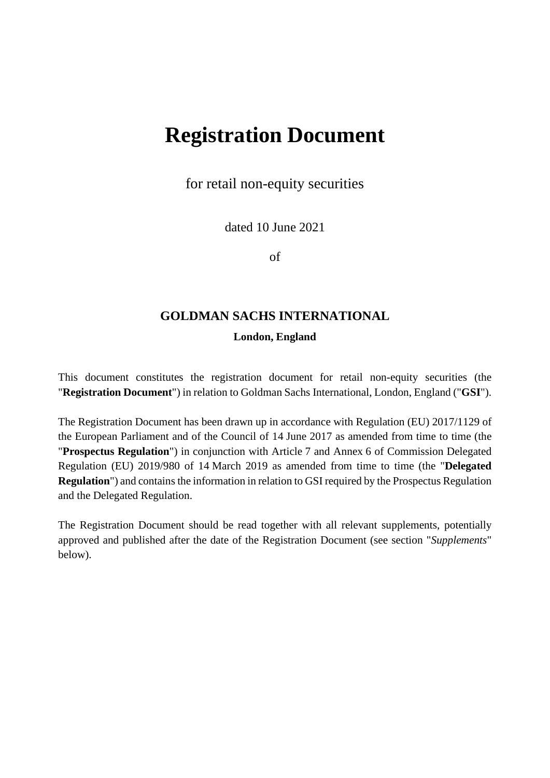# **Registration Document**

for retail non-equity securities

dated 10 June 2021

of

# **GOLDMAN SACHS INTERNATIONAL**

#### **London, England**

This document constitutes the registration document for retail non-equity securities (the "**Registration Document**") in relation to Goldman Sachs International, London, England ("**GSI**").

The Registration Document has been drawn up in accordance with Regulation (EU) 2017/1129 of the European Parliament and of the Council of 14 June 2017 as amended from time to time (the "**Prospectus Regulation**") in conjunction with Article 7 and Annex 6 of Commission Delegated Regulation (EU) 2019/980 of 14 March 2019 as amended from time to time (the "**Delegated Regulation**") and contains the information in relation to GSI required by the Prospectus Regulation and the Delegated Regulation.

The Registration Document should be read together with all relevant supplements, potentially approved and published after the date of the Registration Document (see section "*Supplements*" below).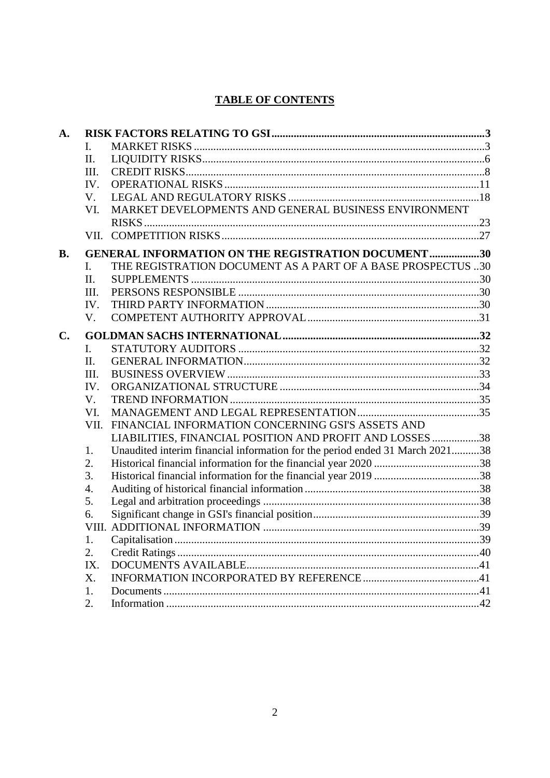# **TABLE OF CONTENTS**

| A.             |                  |                                                                              |  |  |  |
|----------------|------------------|------------------------------------------------------------------------------|--|--|--|
|                | I.               |                                                                              |  |  |  |
|                | II.              |                                                                              |  |  |  |
|                | III.             |                                                                              |  |  |  |
|                | IV.              |                                                                              |  |  |  |
|                | V.               |                                                                              |  |  |  |
|                | VI.              | MARKET DEVELOPMENTS AND GENERAL BUSINESS ENVIRONMENT                         |  |  |  |
|                |                  |                                                                              |  |  |  |
|                |                  |                                                                              |  |  |  |
| <b>B.</b>      |                  | <b>GENERAL INFORMATION ON THE REGISTRATION DOCUMENT 30</b>                   |  |  |  |
|                | I.               | THE REGISTRATION DOCUMENT AS A PART OF A BASE PROSPECTUS 30                  |  |  |  |
|                | $\Pi$ .          |                                                                              |  |  |  |
|                | III.             |                                                                              |  |  |  |
|                | IV.              |                                                                              |  |  |  |
|                | V.               |                                                                              |  |  |  |
| $\mathbf{C}$ . |                  |                                                                              |  |  |  |
|                | L.               |                                                                              |  |  |  |
|                | II.              |                                                                              |  |  |  |
|                | III.             |                                                                              |  |  |  |
|                | IV.              |                                                                              |  |  |  |
|                | $V_{\cdot}$      |                                                                              |  |  |  |
|                | VI.              |                                                                              |  |  |  |
|                |                  | VII. FINANCIAL INFORMATION CONCERNING GSI'S ASSETS AND                       |  |  |  |
|                |                  | LIABILITIES, FINANCIAL POSITION AND PROFIT AND LOSSES 38                     |  |  |  |
|                | 1.               | Unaudited interim financial information for the period ended 31 March 202138 |  |  |  |
|                | 2.               |                                                                              |  |  |  |
|                | 3.               |                                                                              |  |  |  |
|                | $\overline{4}$ . |                                                                              |  |  |  |
|                | 5.               |                                                                              |  |  |  |
|                | 6.               |                                                                              |  |  |  |
|                |                  |                                                                              |  |  |  |
|                | 1.               |                                                                              |  |  |  |
|                | 2.               |                                                                              |  |  |  |
|                | IX.              |                                                                              |  |  |  |
|                | Χ.               |                                                                              |  |  |  |
|                | 1.               |                                                                              |  |  |  |
|                | 2.               |                                                                              |  |  |  |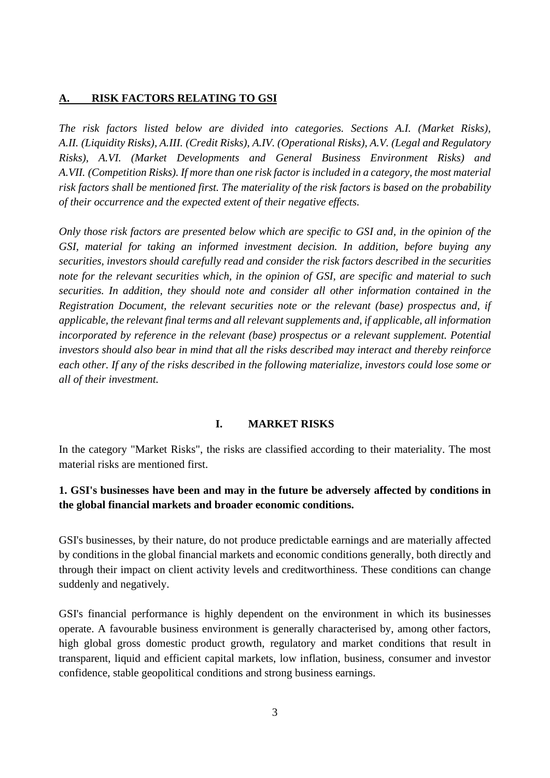#### <span id="page-2-0"></span>**A. RISK FACTORS RELATING TO GSI**

*The risk factors listed below are divided into categories. Sections A.I. (Market Risks), A.II. (Liquidity Risks), A.III. (Credit Risks), A.IV. (Operational Risks), A.V. (Legal and Regulatory Risks), A.VI. (Market Developments and General Business Environment Risks) and A.VII. (Competition Risks). If more than one risk factor is included in a category, the most material risk factors shall be mentioned first. The materiality of the risk factors is based on the probability of their occurrence and the expected extent of their negative effects.* 

*Only those risk factors are presented below which are specific to GSI and, in the opinion of the GSI, material for taking an informed investment decision. In addition, before buying any securities, investors should carefully read and consider the risk factors described in the securities note for the relevant securities which, in the opinion of GSI, are specific and material to such securities. In addition, they should note and consider all other information contained in the Registration Document, the relevant securities note or the relevant (base) prospectus and, if applicable, the relevant final terms and all relevant supplements and, if applicable, all information incorporated by reference in the relevant (base) prospectus or a relevant supplement. Potential investors should also bear in mind that all the risks described may interact and thereby reinforce each other. If any of the risks described in the following materialize, investors could lose some or all of their investment.* 

#### <span id="page-2-1"></span>**I. MARKET RISKS**

In the category "Market Risks", the risks are classified according to their materiality. The most material risks are mentioned first.

## **1. GSI's businesses have been and may in the future be adversely affected by conditions in the global financial markets and broader economic conditions.**

GSI's businesses, by their nature, do not produce predictable earnings and are materially affected by conditions in the global financial markets and economic conditions generally, both directly and through their impact on client activity levels and creditworthiness. These conditions can change suddenly and negatively.

GSI's financial performance is highly dependent on the environment in which its businesses operate. A favourable business environment is generally characterised by, among other factors, high global gross domestic product growth, regulatory and market conditions that result in transparent, liquid and efficient capital markets, low inflation, business, consumer and investor confidence, stable geopolitical conditions and strong business earnings.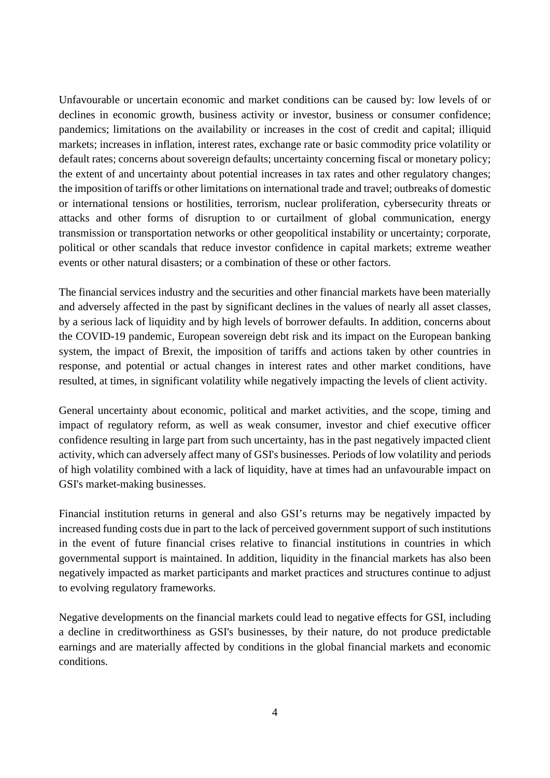Unfavourable or uncertain economic and market conditions can be caused by: low levels of or declines in economic growth, business activity or investor, business or consumer confidence; pandemics; limitations on the availability or increases in the cost of credit and capital; illiquid markets; increases in inflation, interest rates, exchange rate or basic commodity price volatility or default rates; concerns about sovereign defaults; uncertainty concerning fiscal or monetary policy; the extent of and uncertainty about potential increases in tax rates and other regulatory changes; the imposition of tariffs or other limitations on international trade and travel; outbreaks of domestic or international tensions or hostilities, terrorism, nuclear proliferation, cybersecurity threats or attacks and other forms of disruption to or curtailment of global communication, energy transmission or transportation networks or other geopolitical instability or uncertainty; corporate, political or other scandals that reduce investor confidence in capital markets; extreme weather events or other natural disasters; or a combination of these or other factors.

The financial services industry and the securities and other financial markets have been materially and adversely affected in the past by significant declines in the values of nearly all asset classes, by a serious lack of liquidity and by high levels of borrower defaults. In addition, concerns about the COVID-19 pandemic, European sovereign debt risk and its impact on the European banking system, the impact of Brexit, the imposition of tariffs and actions taken by other countries in response, and potential or actual changes in interest rates and other market conditions, have resulted, at times, in significant volatility while negatively impacting the levels of client activity.

General uncertainty about economic, political and market activities, and the scope, timing and impact of regulatory reform, as well as weak consumer, investor and chief executive officer confidence resulting in large part from such uncertainty, has in the past negatively impacted client activity, which can adversely affect many of GSI's businesses. Periods of low volatility and periods of high volatility combined with a lack of liquidity, have at times had an unfavourable impact on GSI's market-making businesses.

Financial institution returns in general and also GSI's returns may be negatively impacted by increased funding costs due in part to the lack of perceived government support of such institutions in the event of future financial crises relative to financial institutions in countries in which governmental support is maintained. In addition, liquidity in the financial markets has also been negatively impacted as market participants and market practices and structures continue to adjust to evolving regulatory frameworks.

Negative developments on the financial markets could lead to negative effects for GSI, including a decline in creditworthiness as GSI's businesses, by their nature, do not produce predictable earnings and are materially affected by conditions in the global financial markets and economic conditions.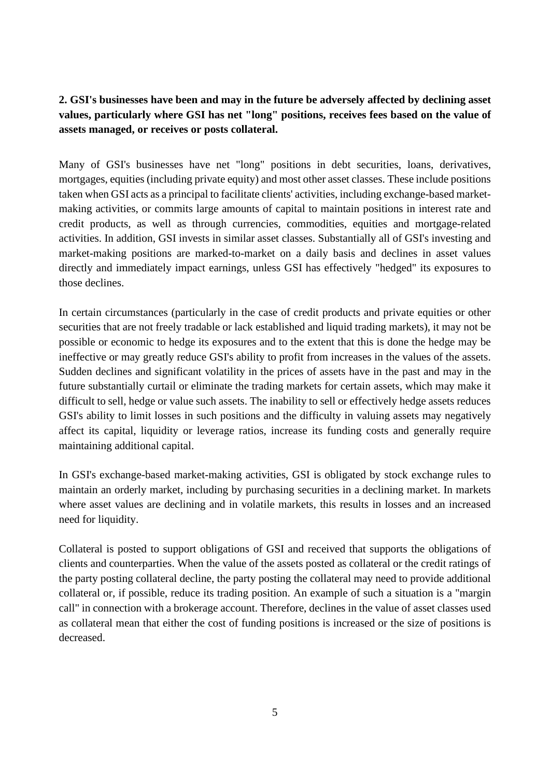# **2. GSI's businesses have been and may in the future be adversely affected by declining asset values, particularly where GSI has net "long" positions, receives fees based on the value of assets managed, or receives or posts collateral.**

Many of GSI's businesses have net "long" positions in debt securities, loans, derivatives, mortgages, equities (including private equity) and most other asset classes. These include positions taken when GSI acts as a principal to facilitate clients' activities, including exchange-based marketmaking activities, or commits large amounts of capital to maintain positions in interest rate and credit products, as well as through currencies, commodities, equities and mortgage-related activities. In addition, GSI invests in similar asset classes. Substantially all of GSI's investing and market-making positions are marked-to-market on a daily basis and declines in asset values directly and immediately impact earnings, unless GSI has effectively "hedged" its exposures to those declines.

In certain circumstances (particularly in the case of credit products and private equities or other securities that are not freely tradable or lack established and liquid trading markets), it may not be possible or economic to hedge its exposures and to the extent that this is done the hedge may be ineffective or may greatly reduce GSI's ability to profit from increases in the values of the assets. Sudden declines and significant volatility in the prices of assets have in the past and may in the future substantially curtail or eliminate the trading markets for certain assets, which may make it difficult to sell, hedge or value such assets. The inability to sell or effectively hedge assets reduces GSI's ability to limit losses in such positions and the difficulty in valuing assets may negatively affect its capital, liquidity or leverage ratios, increase its funding costs and generally require maintaining additional capital.

In GSI's exchange-based market-making activities, GSI is obligated by stock exchange rules to maintain an orderly market, including by purchasing securities in a declining market. In markets where asset values are declining and in volatile markets, this results in losses and an increased need for liquidity.

Collateral is posted to support obligations of GSI and received that supports the obligations of clients and counterparties. When the value of the assets posted as collateral or the credit ratings of the party posting collateral decline, the party posting the collateral may need to provide additional collateral or, if possible, reduce its trading position. An example of such a situation is a "margin call" in connection with a brokerage account. Therefore, declines in the value of asset classes used as collateral mean that either the cost of funding positions is increased or the size of positions is decreased.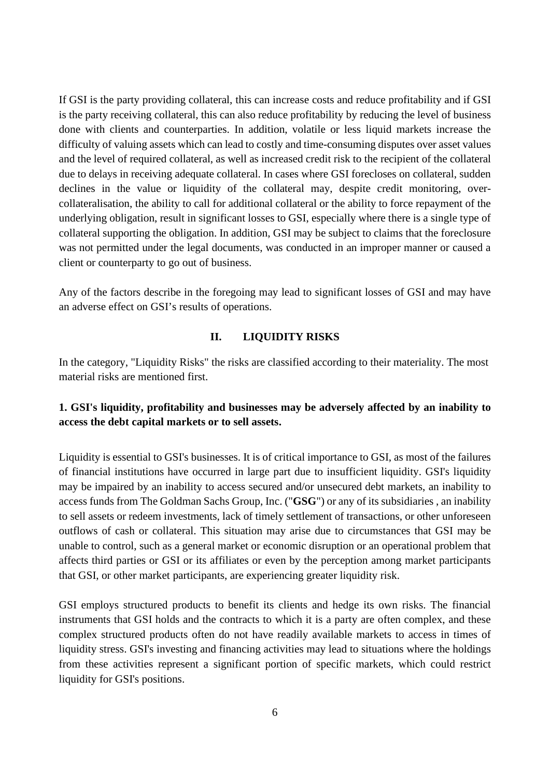If GSI is the party providing collateral, this can increase costs and reduce profitability and if GSI is the party receiving collateral, this can also reduce profitability by reducing the level of business done with clients and counterparties. In addition, volatile or less liquid markets increase the difficulty of valuing assets which can lead to costly and time-consuming disputes over asset values and the level of required collateral, as well as increased credit risk to the recipient of the collateral due to delays in receiving adequate collateral. In cases where GSI forecloses on collateral, sudden declines in the value or liquidity of the collateral may, despite credit monitoring, overcollateralisation, the ability to call for additional collateral or the ability to force repayment of the underlying obligation, result in significant losses to GSI, especially where there is a single type of collateral supporting the obligation. In addition, GSI may be subject to claims that the foreclosure was not permitted under the legal documents, was conducted in an improper manner or caused a client or counterparty to go out of business.

Any of the factors describe in the foregoing may lead to significant losses of GSI and may have an adverse effect on GSI's results of operations.

## **II. LIQUIDITY RISKS**

<span id="page-5-0"></span>In the category, "Liquidity Risks" the risks are classified according to their materiality. The most material risks are mentioned first.

# **1. GSI's liquidity, profitability and businesses may be adversely affected by an inability to access the debt capital markets or to sell assets.**

Liquidity is essential to GSI's businesses. It is of critical importance to GSI, as most of the failures of financial institutions have occurred in large part due to insufficient liquidity. GSI's liquidity may be impaired by an inability to access secured and/or unsecured debt markets, an inability to access funds from The Goldman Sachs Group, Inc. ("**GSG**") or any of its subsidiaries , an inability to sell assets or redeem investments, lack of timely settlement of transactions, or other unforeseen outflows of cash or collateral. This situation may arise due to circumstances that GSI may be unable to control, such as a general market or economic disruption or an operational problem that affects third parties or GSI or its affiliates or even by the perception among market participants that GSI, or other market participants, are experiencing greater liquidity risk.

GSI employs structured products to benefit its clients and hedge its own risks. The financial instruments that GSI holds and the contracts to which it is a party are often complex, and these complex structured products often do not have readily available markets to access in times of liquidity stress. GSI's investing and financing activities may lead to situations where the holdings from these activities represent a significant portion of specific markets, which could restrict liquidity for GSI's positions.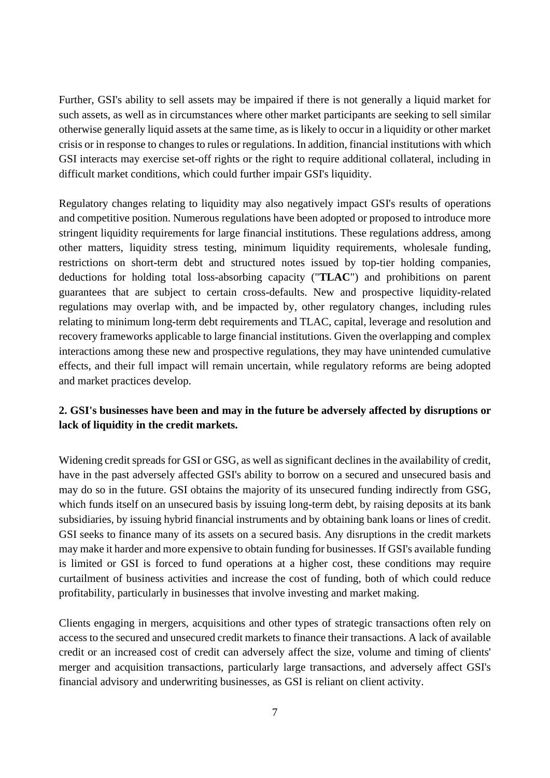Further, GSI's ability to sell assets may be impaired if there is not generally a liquid market for such assets, as well as in circumstances where other market participants are seeking to sell similar otherwise generally liquid assets at the same time, as is likely to occur in a liquidity or other market crisis or in response to changes to rules or regulations. In addition, financial institutions with which GSI interacts may exercise set-off rights or the right to require additional collateral, including in difficult market conditions, which could further impair GSI's liquidity.

Regulatory changes relating to liquidity may also negatively impact GSI's results of operations and competitive position. Numerous regulations have been adopted or proposed to introduce more stringent liquidity requirements for large financial institutions. These regulations address, among other matters, liquidity stress testing, minimum liquidity requirements, wholesale funding, restrictions on short-term debt and structured notes issued by top-tier holding companies, deductions for holding total loss-absorbing capacity ("**TLAC**") and prohibitions on parent guarantees that are subject to certain cross-defaults. New and prospective liquidity-related regulations may overlap with, and be impacted by, other regulatory changes, including rules relating to minimum long-term debt requirements and TLAC, capital, leverage and resolution and recovery frameworks applicable to large financial institutions. Given the overlapping and complex interactions among these new and prospective regulations, they may have unintended cumulative effects, and their full impact will remain uncertain, while regulatory reforms are being adopted and market practices develop.

## **2. GSI's businesses have been and may in the future be adversely affected by disruptions or lack of liquidity in the credit markets.**

Widening credit spreads for GSI or GSG, as well as significant declines in the availability of credit, have in the past adversely affected GSI's ability to borrow on a secured and unsecured basis and may do so in the future. GSI obtains the majority of its unsecured funding indirectly from GSG, which funds itself on an unsecured basis by issuing long-term debt, by raising deposits at its bank subsidiaries, by issuing hybrid financial instruments and by obtaining bank loans or lines of credit. GSI seeks to finance many of its assets on a secured basis. Any disruptions in the credit markets may make it harder and more expensive to obtain funding for businesses. If GSI's available funding is limited or GSI is forced to fund operations at a higher cost, these conditions may require curtailment of business activities and increase the cost of funding, both of which could reduce profitability, particularly in businesses that involve investing and market making.

Clients engaging in mergers, acquisitions and other types of strategic transactions often rely on access to the secured and unsecured credit markets to finance their transactions. A lack of available credit or an increased cost of credit can adversely affect the size, volume and timing of clients' merger and acquisition transactions, particularly large transactions, and adversely affect GSI's financial advisory and underwriting businesses, as GSI is reliant on client activity.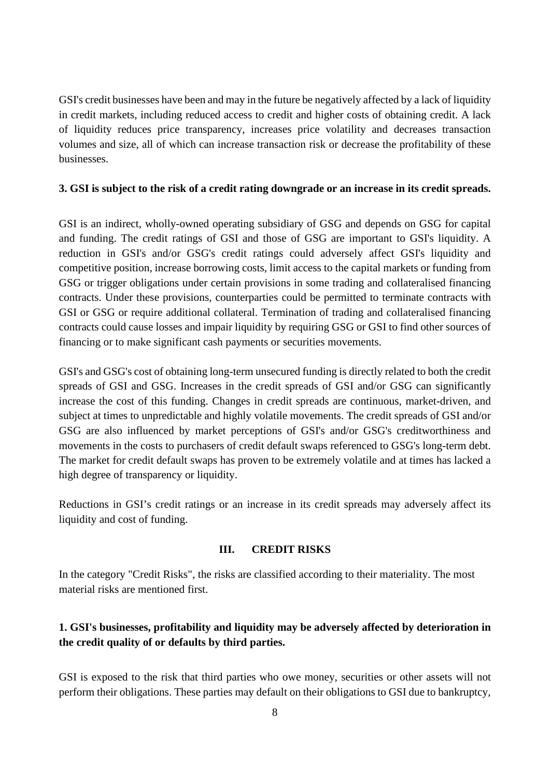GSI's credit businesses have been and may in the future be negatively affected by a lack of liquidity in credit markets, including reduced access to credit and higher costs of obtaining credit. A lack of liquidity reduces price transparency, increases price volatility and decreases transaction volumes and size, all of which can increase transaction risk or decrease the profitability of these businesses.

#### **3. GSI is subject to the risk of a credit rating downgrade or an increase in its credit spreads.**

GSI is an indirect, wholly-owned operating subsidiary of GSG and depends on GSG for capital and funding. The credit ratings of GSI and those of GSG are important to GSI's liquidity. A reduction in GSI's and/or GSG's credit ratings could adversely affect GSI's liquidity and competitive position, increase borrowing costs, limit access to the capital markets or funding from GSG or trigger obligations under certain provisions in some trading and collateralised financing contracts. Under these provisions, counterparties could be permitted to terminate contracts with GSI or GSG or require additional collateral. Termination of trading and collateralised financing contracts could cause losses and impair liquidity by requiring GSG or GSI to find other sources of financing or to make significant cash payments or securities movements.

GSI's and GSG's cost of obtaining long-term unsecured funding is directly related to both the credit spreads of GSI and GSG. Increases in the credit spreads of GSI and/or GSG can significantly increase the cost of this funding. Changes in credit spreads are continuous, market-driven, and subject at times to unpredictable and highly volatile movements. The credit spreads of GSI and/or GSG are also influenced by market perceptions of GSI's and/or GSG's creditworthiness and movements in the costs to purchasers of credit default swaps referenced to GSG's long-term debt. The market for credit default swaps has proven to be extremely volatile and at times has lacked a high degree of transparency or liquidity.

Reductions in GSI's credit ratings or an increase in its credit spreads may adversely affect its liquidity and cost of funding.

#### **III. CREDIT RISKS**

<span id="page-7-0"></span>In the category "Credit Risks", the risks are classified according to their materiality. The most material risks are mentioned first.

## **1. GSI's businesses, profitability and liquidity may be adversely affected by deterioration in the credit quality of or defaults by third parties.**

GSI is exposed to the risk that third parties who owe money, securities or other assets will not perform their obligations. These parties may default on their obligations to GSI due to bankruptcy,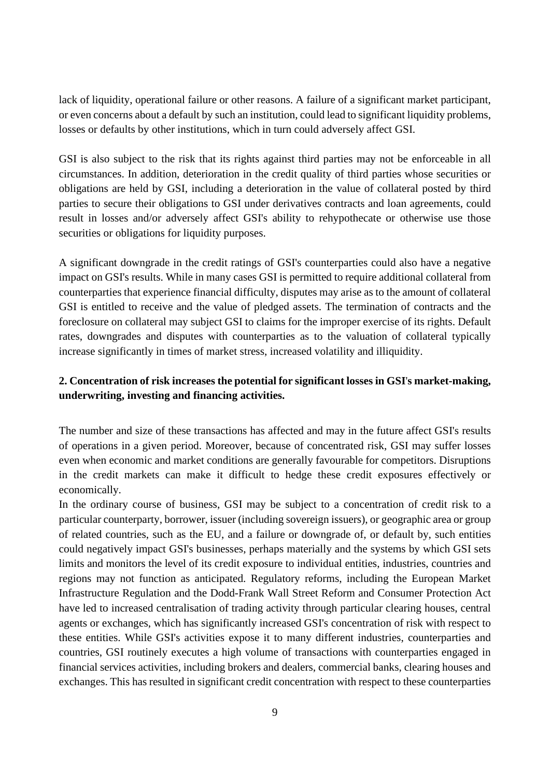lack of liquidity, operational failure or other reasons. A failure of a significant market participant, or even concerns about a default by such an institution, could lead to significant liquidity problems, losses or defaults by other institutions, which in turn could adversely affect GSI.

GSI is also subject to the risk that its rights against third parties may not be enforceable in all circumstances. In addition, deterioration in the credit quality of third parties whose securities or obligations are held by GSI, including a deterioration in the value of collateral posted by third parties to secure their obligations to GSI under derivatives contracts and loan agreements, could result in losses and/or adversely affect GSI's ability to rehypothecate or otherwise use those securities or obligations for liquidity purposes.

A significant downgrade in the credit ratings of GSI's counterparties could also have a negative impact on GSI's results. While in many cases GSI is permitted to require additional collateral from counterparties that experience financial difficulty, disputes may arise as to the amount of collateral GSI is entitled to receive and the value of pledged assets. The termination of contracts and the foreclosure on collateral may subject GSI to claims for the improper exercise of its rights. Default rates, downgrades and disputes with counterparties as to the valuation of collateral typically increase significantly in times of market stress, increased volatility and illiquidity.

## **2. Concentration of risk increases the potential for significant losses in GSI**'**s market-making, underwriting, investing and financing activities.**

The number and size of these transactions has affected and may in the future affect GSI's results of operations in a given period. Moreover, because of concentrated risk, GSI may suffer losses even when economic and market conditions are generally favourable for competitors. Disruptions in the credit markets can make it difficult to hedge these credit exposures effectively or economically.

In the ordinary course of business, GSI may be subject to a concentration of credit risk to a particular counterparty, borrower, issuer (including sovereign issuers), or geographic area or group of related countries, such as the EU, and a failure or downgrade of, or default by, such entities could negatively impact GSI's businesses, perhaps materially and the systems by which GSI sets limits and monitors the level of its credit exposure to individual entities, industries, countries and regions may not function as anticipated. Regulatory reforms, including the European Market Infrastructure Regulation and the Dodd-Frank Wall Street Reform and Consumer Protection Act have led to increased centralisation of trading activity through particular clearing houses, central agents or exchanges, which has significantly increased GSI's concentration of risk with respect to these entities. While GSI's activities expose it to many different industries, counterparties and countries, GSI routinely executes a high volume of transactions with counterparties engaged in financial services activities, including brokers and dealers, commercial banks, clearing houses and exchanges. This has resulted in significant credit concentration with respect to these counterparties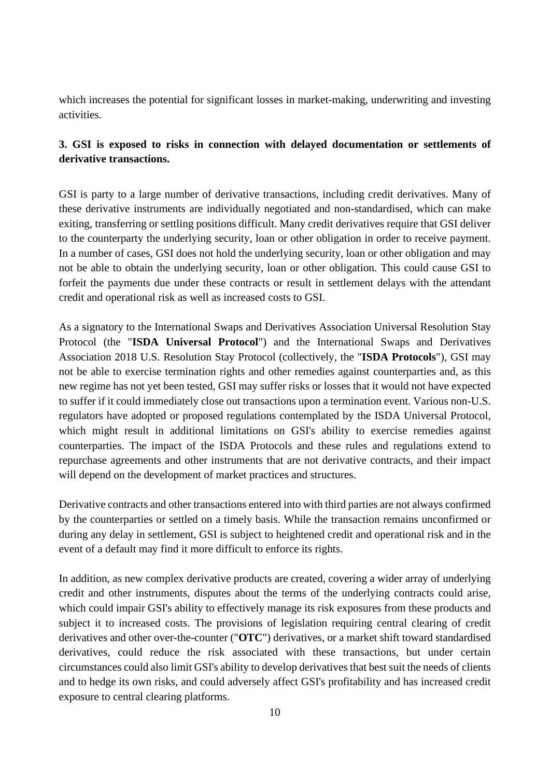which increases the potential for significant losses in market-making, underwriting and investing activities.

## **3. GSI is exposed to risks in connection with delayed documentation or settlements of derivative transactions.**

GSI is party to a large number of derivative transactions, including credit derivatives. Many of these derivative instruments are individually negotiated and non-standardised, which can make exiting, transferring or settling positions difficult. Many credit derivatives require that GSI deliver to the counterparty the underlying security, loan or other obligation in order to receive payment. In a number of cases, GSI does not hold the underlying security, loan or other obligation and may not be able to obtain the underlying security, loan or other obligation. This could cause GSI to forfeit the payments due under these contracts or result in settlement delays with the attendant credit and operational risk as well as increased costs to GSI.

As a signatory to the International Swaps and Derivatives Association Universal Resolution Stay Protocol (the "**ISDA Universal Protocol**") and the International Swaps and Derivatives Association 2018 U.S. Resolution Stay Protocol (collectively, the "**ISDA Protocols**"), GSI may not be able to exercise termination rights and other remedies against counterparties and, as this new regime has not yet been tested, GSI may suffer risks or losses that it would not have expected to suffer if it could immediately close out transactions upon a termination event. Various non-U.S. regulators have adopted or proposed regulations contemplated by the ISDA Universal Protocol, which might result in additional limitations on GSI's ability to exercise remedies against counterparties. The impact of the ISDA Protocols and these rules and regulations extend to repurchase agreements and other instruments that are not derivative contracts, and their impact will depend on the development of market practices and structures.

Derivative contracts and other transactions entered into with third parties are not always confirmed by the counterparties or settled on a timely basis. While the transaction remains unconfirmed or during any delay in settlement, GSI is subject to heightened credit and operational risk and in the event of a default may find it more difficult to enforce its rights.

In addition, as new complex derivative products are created, covering a wider array of underlying credit and other instruments, disputes about the terms of the underlying contracts could arise, which could impair GSI's ability to effectively manage its risk exposures from these products and subject it to increased costs. The provisions of legislation requiring central clearing of credit derivatives and other over-the-counter ("**OTC**") derivatives, or a market shift toward standardised derivatives, could reduce the risk associated with these transactions, but under certain circumstances could also limit GSI's ability to develop derivatives that best suit the needs of clients and to hedge its own risks, and could adversely affect GSI's profitability and has increased credit exposure to central clearing platforms.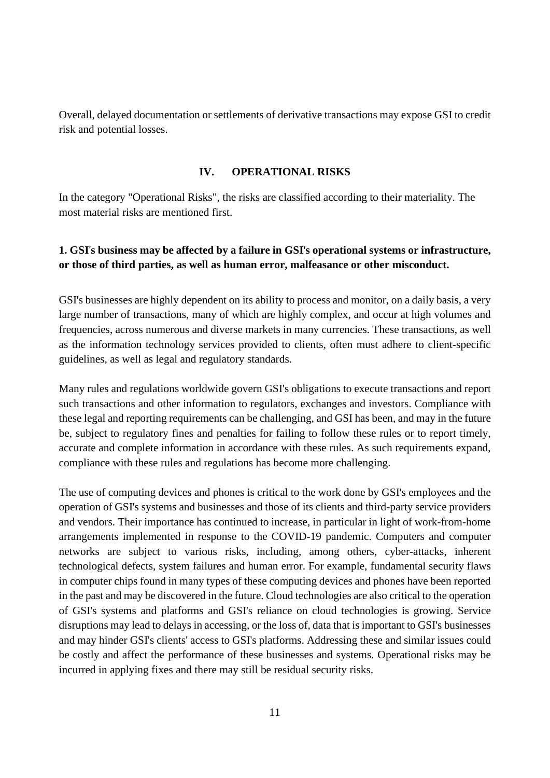Overall, delayed documentation or settlements of derivative transactions may expose GSI to credit risk and potential losses.

#### **IV. OPERATIONAL RISKS**

<span id="page-10-0"></span>In the category "Operational Risks", the risks are classified according to their materiality. The most material risks are mentioned first.

## **1. GSI**'**s business may be affected by a failure in GSI**'**s operational systems or infrastructure, or those of third parties, as well as human error, malfeasance or other misconduct.**

GSI's businesses are highly dependent on its ability to process and monitor, on a daily basis, a very large number of transactions, many of which are highly complex, and occur at high volumes and frequencies, across numerous and diverse markets in many currencies. These transactions, as well as the information technology services provided to clients, often must adhere to client-specific guidelines, as well as legal and regulatory standards.

Many rules and regulations worldwide govern GSI's obligations to execute transactions and report such transactions and other information to regulators, exchanges and investors. Compliance with these legal and reporting requirements can be challenging, and GSI has been, and may in the future be, subject to regulatory fines and penalties for failing to follow these rules or to report timely, accurate and complete information in accordance with these rules. As such requirements expand, compliance with these rules and regulations has become more challenging.

The use of computing devices and phones is critical to the work done by GSI's employees and the operation of GSI's systems and businesses and those of its clients and third-party service providers and vendors. Their importance has continued to increase, in particular in light of work-from-home arrangements implemented in response to the COVID-19 pandemic. Computers and computer networks are subject to various risks, including, among others, cyber-attacks, inherent technological defects, system failures and human error. For example, fundamental security flaws in computer chips found in many types of these computing devices and phones have been reported in the past and may be discovered in the future. Cloud technologies are also critical to the operation of GSI's systems and platforms and GSI's reliance on cloud technologies is growing. Service disruptions may lead to delays in accessing, or the loss of, data that is important to GSI's businesses and may hinder GSI's clients' access to GSI's platforms. Addressing these and similar issues could be costly and affect the performance of these businesses and systems. Operational risks may be incurred in applying fixes and there may still be residual security risks.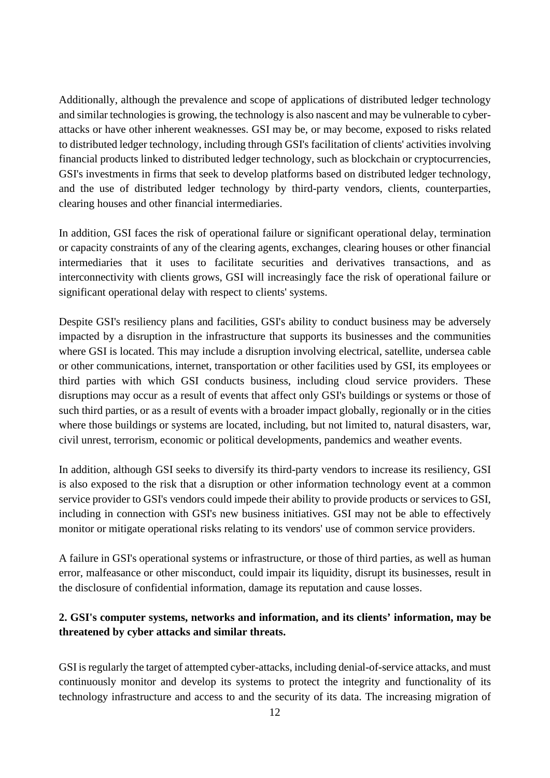Additionally, although the prevalence and scope of applications of distributed ledger technology and similar technologies is growing, the technology is also nascent and may be vulnerable to cyberattacks or have other inherent weaknesses. GSI may be, or may become, exposed to risks related to distributed ledger technology, including through GSI's facilitation of clients' activities involving financial products linked to distributed ledger technology, such as blockchain or cryptocurrencies, GSI's investments in firms that seek to develop platforms based on distributed ledger technology, and the use of distributed ledger technology by third-party vendors, clients, counterparties, clearing houses and other financial intermediaries.

In addition, GSI faces the risk of operational failure or significant operational delay, termination or capacity constraints of any of the clearing agents, exchanges, clearing houses or other financial intermediaries that it uses to facilitate securities and derivatives transactions, and as interconnectivity with clients grows, GSI will increasingly face the risk of operational failure or significant operational delay with respect to clients' systems.

Despite GSI's resiliency plans and facilities, GSI's ability to conduct business may be adversely impacted by a disruption in the infrastructure that supports its businesses and the communities where GSI is located. This may include a disruption involving electrical, satellite, undersea cable or other communications, internet, transportation or other facilities used by GSI, its employees or third parties with which GSI conducts business, including cloud service providers. These disruptions may occur as a result of events that affect only GSI's buildings or systems or those of such third parties, or as a result of events with a broader impact globally, regionally or in the cities where those buildings or systems are located, including, but not limited to, natural disasters, war, civil unrest, terrorism, economic or political developments, pandemics and weather events.

In addition, although GSI seeks to diversify its third-party vendors to increase its resiliency, GSI is also exposed to the risk that a disruption or other information technology event at a common service provider to GSI's vendors could impede their ability to provide products or services to GSI, including in connection with GSI's new business initiatives. GSI may not be able to effectively monitor or mitigate operational risks relating to its vendors' use of common service providers.

A failure in GSI's operational systems or infrastructure, or those of third parties, as well as human error, malfeasance or other misconduct, could impair its liquidity, disrupt its businesses, result in the disclosure of confidential information, damage its reputation and cause losses.

# **2. GSI's computer systems, networks and information, and its clients' information, may be threatened by cyber attacks and similar threats.**

GSI is regularly the target of attempted cyber-attacks, including denial-of-service attacks, and must continuously monitor and develop its systems to protect the integrity and functionality of its technology infrastructure and access to and the security of its data. The increasing migration of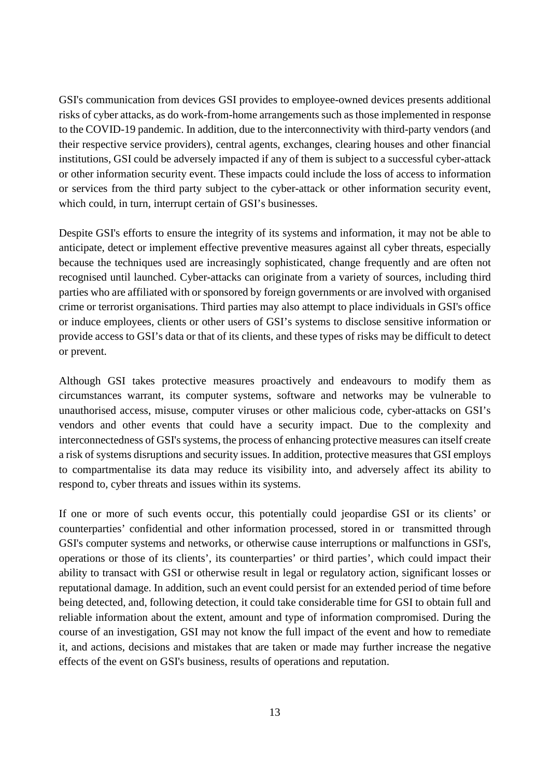GSI's communication from devices GSI provides to employee-owned devices presents additional risks of cyber attacks, as do work-from-home arrangements such as those implemented in response to the COVID-19 pandemic. In addition, due to the interconnectivity with third-party vendors (and their respective service providers), central agents, exchanges, clearing houses and other financial institutions, GSI could be adversely impacted if any of them is subject to a successful cyber-attack or other information security event. These impacts could include the loss of access to information or services from the third party subject to the cyber-attack or other information security event, which could, in turn, interrupt certain of GSI's businesses.

Despite GSI's efforts to ensure the integrity of its systems and information, it may not be able to anticipate, detect or implement effective preventive measures against all cyber threats, especially because the techniques used are increasingly sophisticated, change frequently and are often not recognised until launched. Cyber-attacks can originate from a variety of sources, including third parties who are affiliated with or sponsored by foreign governments or are involved with organised crime or terrorist organisations. Third parties may also attempt to place individuals in GSI's office or induce employees, clients or other users of GSI's systems to disclose sensitive information or provide access to GSI's data or that of its clients, and these types of risks may be difficult to detect or prevent.

Although GSI takes protective measures proactively and endeavours to modify them as circumstances warrant, its computer systems, software and networks may be vulnerable to unauthorised access, misuse, computer viruses or other malicious code, cyber-attacks on GSI's vendors and other events that could have a security impact. Due to the complexity and interconnectedness of GSI's systems, the process of enhancing protective measures can itself create a risk of systems disruptions and security issues. In addition, protective measures that GSI employs to compartmentalise its data may reduce its visibility into, and adversely affect its ability to respond to, cyber threats and issues within its systems.

If one or more of such events occur, this potentially could jeopardise GSI or its clients' or counterparties' confidential and other information processed, stored in or transmitted through GSI's computer systems and networks, or otherwise cause interruptions or malfunctions in GSI's, operations or those of its clients', its counterparties' or third parties', which could impact their ability to transact with GSI or otherwise result in legal or regulatory action, significant losses or reputational damage. In addition, such an event could persist for an extended period of time before being detected, and, following detection, it could take considerable time for GSI to obtain full and reliable information about the extent, amount and type of information compromised. During the course of an investigation, GSI may not know the full impact of the event and how to remediate it, and actions, decisions and mistakes that are taken or made may further increase the negative effects of the event on GSI's business, results of operations and reputation.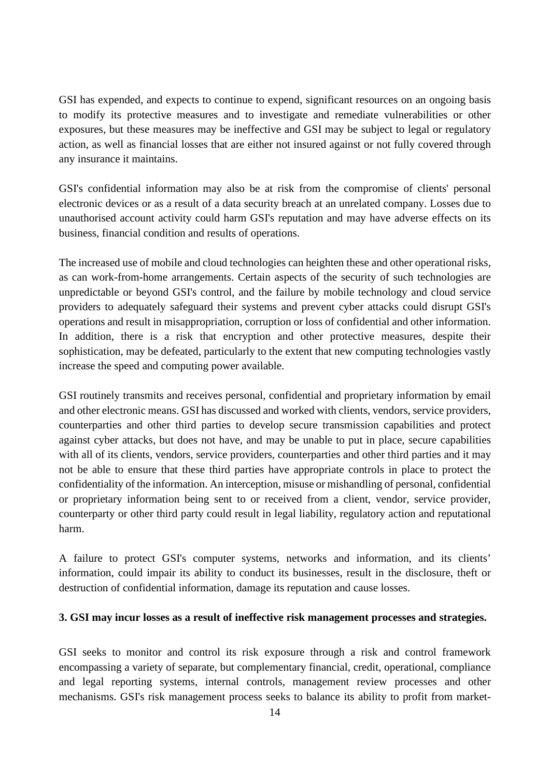GSI has expended, and expects to continue to expend, significant resources on an ongoing basis to modify its protective measures and to investigate and remediate vulnerabilities or other exposures, but these measures may be ineffective and GSI may be subject to legal or regulatory action, as well as financial losses that are either not insured against or not fully covered through any insurance it maintains.

GSI's confidential information may also be at risk from the compromise of clients' personal electronic devices or as a result of a data security breach at an unrelated company. Losses due to unauthorised account activity could harm GSI's reputation and may have adverse effects on its business, financial condition and results of operations.

The increased use of mobile and cloud technologies can heighten these and other operational risks, as can work-from-home arrangements. Certain aspects of the security of such technologies are unpredictable or beyond GSI's control, and the failure by mobile technology and cloud service providers to adequately safeguard their systems and prevent cyber attacks could disrupt GSI's operations and result in misappropriation, corruption or loss of confidential and other information. In addition, there is a risk that encryption and other protective measures, despite their sophistication, may be defeated, particularly to the extent that new computing technologies vastly increase the speed and computing power available.

GSI routinely transmits and receives personal, confidential and proprietary information by email and other electronic means. GSI has discussed and worked with clients, vendors, service providers, counterparties and other third parties to develop secure transmission capabilities and protect against cyber attacks, but does not have, and may be unable to put in place, secure capabilities with all of its clients, vendors, service providers, counterparties and other third parties and it may not be able to ensure that these third parties have appropriate controls in place to protect the confidentiality of the information. An interception, misuse or mishandling of personal, confidential or proprietary information being sent to or received from a client, vendor, service provider, counterparty or other third party could result in legal liability, regulatory action and reputational harm.

A failure to protect GSI's computer systems, networks and information, and its clients' information, could impair its ability to conduct its businesses, result in the disclosure, theft or destruction of confidential information, damage its reputation and cause losses.

#### **3. GSI may incur losses as a result of ineffective risk management processes and strategies.**

GSI seeks to monitor and control its risk exposure through a risk and control framework encompassing a variety of separate, but complementary financial, credit, operational, compliance and legal reporting systems, internal controls, management review processes and other mechanisms. GSI's risk management process seeks to balance its ability to profit from market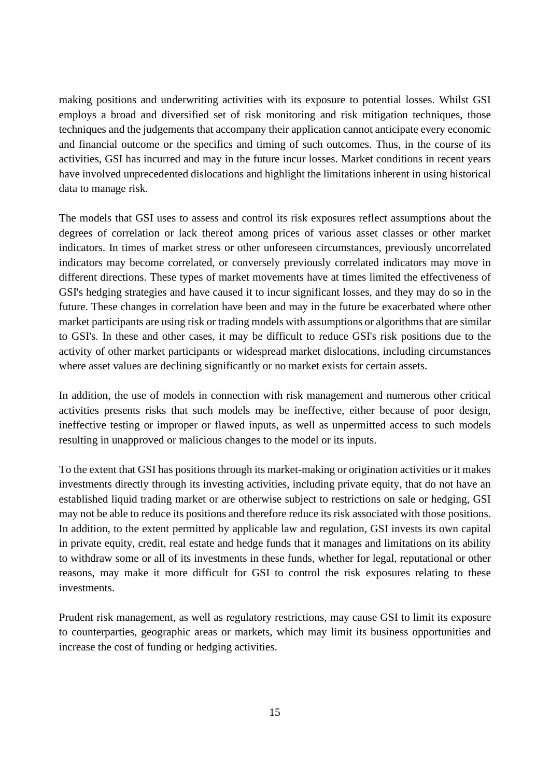making positions and underwriting activities with its exposure to potential losses. Whilst GSI employs a broad and diversified set of risk monitoring and risk mitigation techniques, those techniques and the judgements that accompany their application cannot anticipate every economic and financial outcome or the specifics and timing of such outcomes. Thus, in the course of its activities, GSI has incurred and may in the future incur losses. Market conditions in recent years have involved unprecedented dislocations and highlight the limitations inherent in using historical data to manage risk.

The models that GSI uses to assess and control its risk exposures reflect assumptions about the degrees of correlation or lack thereof among prices of various asset classes or other market indicators. In times of market stress or other unforeseen circumstances, previously uncorrelated indicators may become correlated, or conversely previously correlated indicators may move in different directions. These types of market movements have at times limited the effectiveness of GSI's hedging strategies and have caused it to incur significant losses, and they may do so in the future. These changes in correlation have been and may in the future be exacerbated where other market participants are using risk or trading models with assumptions or algorithms that are similar to GSI's. In these and other cases, it may be difficult to reduce GSI's risk positions due to the activity of other market participants or widespread market dislocations, including circumstances where asset values are declining significantly or no market exists for certain assets.

In addition, the use of models in connection with risk management and numerous other critical activities presents risks that such models may be ineffective, either because of poor design, ineffective testing or improper or flawed inputs, as well as unpermitted access to such models resulting in unapproved or malicious changes to the model or its inputs.

To the extent that GSI has positions through its market-making or origination activities or it makes investments directly through its investing activities, including private equity, that do not have an established liquid trading market or are otherwise subject to restrictions on sale or hedging, GSI may not be able to reduce its positions and therefore reduce its risk associated with those positions. In addition, to the extent permitted by applicable law and regulation, GSI invests its own capital in private equity, credit, real estate and hedge funds that it manages and limitations on its ability to withdraw some or all of its investments in these funds, whether for legal, reputational or other reasons, may make it more difficult for GSI to control the risk exposures relating to these investments.

Prudent risk management, as well as regulatory restrictions, may cause GSI to limit its exposure to counterparties, geographic areas or markets, which may limit its business opportunities and increase the cost of funding or hedging activities.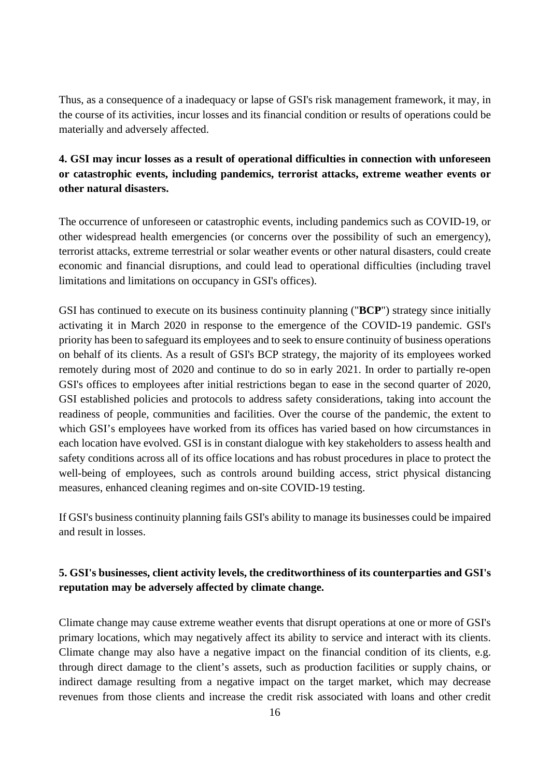Thus, as a consequence of a inadequacy or lapse of GSI's risk management framework, it may, in the course of its activities, incur losses and its financial condition or results of operations could be materially and adversely affected.

# **4. GSI may incur losses as a result of operational difficulties in connection with unforeseen or catastrophic events, including pandemics, terrorist attacks, extreme weather events or other natural disasters.**

The occurrence of unforeseen or catastrophic events, including pandemics such as COVID-19, or other widespread health emergencies (or concerns over the possibility of such an emergency), terrorist attacks, extreme terrestrial or solar weather events or other natural disasters, could create economic and financial disruptions, and could lead to operational difficulties (including travel limitations and limitations on occupancy in GSI's offices).

GSI has continued to execute on its business continuity planning ("**BCP**") strategy since initially activating it in March 2020 in response to the emergence of the COVID-19 pandemic. GSI's priority has been to safeguard its employees and to seek to ensure continuity of business operations on behalf of its clients. As a result of GSI's BCP strategy, the majority of its employees worked remotely during most of 2020 and continue to do so in early 2021. In order to partially re-open GSI's offices to employees after initial restrictions began to ease in the second quarter of 2020, GSI established policies and protocols to address safety considerations, taking into account the readiness of people, communities and facilities. Over the course of the pandemic, the extent to which GSI's employees have worked from its offices has varied based on how circumstances in each location have evolved. GSI is in constant dialogue with key stakeholders to assess health and safety conditions across all of its office locations and has robust procedures in place to protect the well-being of employees, such as controls around building access, strict physical distancing measures, enhanced cleaning regimes and on-site COVID-19 testing.

If GSI's business continuity planning fails GSI's ability to manage its businesses could be impaired and result in losses.

## **5. GSI's businesses, client activity levels, the creditworthiness of its counterparties and GSI's reputation may be adversely affected by climate change.**

Climate change may cause extreme weather events that disrupt operations at one or more of GSI's primary locations, which may negatively affect its ability to service and interact with its clients. Climate change may also have a negative impact on the financial condition of its clients, e.g. through direct damage to the client's assets, such as production facilities or supply chains, or indirect damage resulting from a negative impact on the target market, which may decrease revenues from those clients and increase the credit risk associated with loans and other credit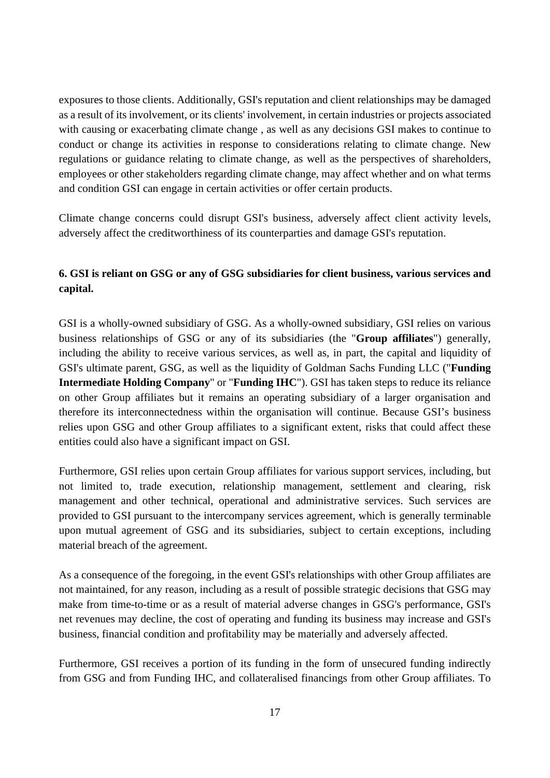exposures to those clients. Additionally, GSI's reputation and client relationships may be damaged as a result of its involvement, or its clients' involvement, in certain industries or projects associated with causing or exacerbating climate change , as well as any decisions GSI makes to continue to conduct or change its activities in response to considerations relating to climate change. New regulations or guidance relating to climate change, as well as the perspectives of shareholders, employees or other stakeholders regarding climate change, may affect whether and on what terms and condition GSI can engage in certain activities or offer certain products.

Climate change concerns could disrupt GSI's business, adversely affect client activity levels, adversely affect the creditworthiness of its counterparties and damage GSI's reputation.

## **6. GSI is reliant on GSG or any of GSG subsidiaries for client business, various services and capital.**

GSI is a wholly-owned subsidiary of GSG. As a wholly-owned subsidiary, GSI relies on various business relationships of GSG or any of its subsidiaries (the "**Group affiliates**") generally, including the ability to receive various services, as well as, in part, the capital and liquidity of GSI's ultimate parent, GSG, as well as the liquidity of Goldman Sachs Funding LLC ("**Funding Intermediate Holding Company**" or "**Funding IHC**"). GSI has taken steps to reduce its reliance on other Group affiliates but it remains an operating subsidiary of a larger organisation and therefore its interconnectedness within the organisation will continue. Because GSI's business relies upon GSG and other Group affiliates to a significant extent, risks that could affect these entities could also have a significant impact on GSI.

Furthermore, GSI relies upon certain Group affiliates for various support services, including, but not limited to, trade execution, relationship management, settlement and clearing, risk management and other technical, operational and administrative services. Such services are provided to GSI pursuant to the intercompany services agreement, which is generally terminable upon mutual agreement of GSG and its subsidiaries, subject to certain exceptions, including material breach of the agreement.

As a consequence of the foregoing, in the event GSI's relationships with other Group affiliates are not maintained, for any reason, including as a result of possible strategic decisions that GSG may make from time-to-time or as a result of material adverse changes in GSG's performance, GSI's net revenues may decline, the cost of operating and funding its business may increase and GSI's business, financial condition and profitability may be materially and adversely affected.

Furthermore, GSI receives a portion of its funding in the form of unsecured funding indirectly from GSG and from Funding IHC, and collateralised financings from other Group affiliates. To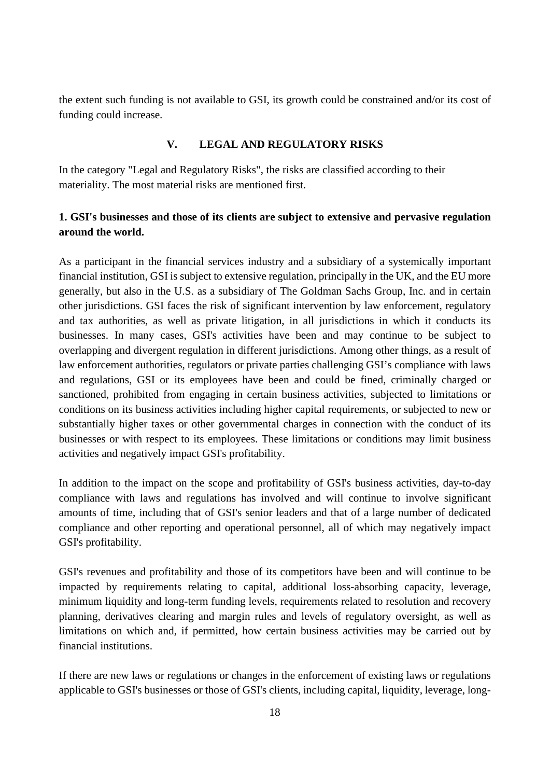the extent such funding is not available to GSI, its growth could be constrained and/or its cost of funding could increase.

## **V. LEGAL AND REGULATORY RISKS**

<span id="page-17-0"></span>In the category "Legal and Regulatory Risks", the risks are classified according to their materiality. The most material risks are mentioned first.

## **1. GSI's businesses and those of its clients are subject to extensive and pervasive regulation around the world.**

As a participant in the financial services industry and a subsidiary of a systemically important financial institution, GSI is subject to extensive regulation, principally in the UK, and the EU more generally, but also in the U.S. as a subsidiary of The Goldman Sachs Group, Inc. and in certain other jurisdictions. GSI faces the risk of significant intervention by law enforcement, regulatory and tax authorities, as well as private litigation, in all jurisdictions in which it conducts its businesses. In many cases, GSI's activities have been and may continue to be subject to overlapping and divergent regulation in different jurisdictions. Among other things, as a result of law enforcement authorities, regulators or private parties challenging GSI's compliance with laws and regulations, GSI or its employees have been and could be fined, criminally charged or sanctioned, prohibited from engaging in certain business activities, subjected to limitations or conditions on its business activities including higher capital requirements, or subjected to new or substantially higher taxes or other governmental charges in connection with the conduct of its businesses or with respect to its employees. These limitations or conditions may limit business activities and negatively impact GSI's profitability.

In addition to the impact on the scope and profitability of GSI's business activities, day-to-day compliance with laws and regulations has involved and will continue to involve significant amounts of time, including that of GSI's senior leaders and that of a large number of dedicated compliance and other reporting and operational personnel, all of which may negatively impact GSI's profitability.

GSI's revenues and profitability and those of its competitors have been and will continue to be impacted by requirements relating to capital, additional loss-absorbing capacity, leverage, minimum liquidity and long-term funding levels, requirements related to resolution and recovery planning, derivatives clearing and margin rules and levels of regulatory oversight, as well as limitations on which and, if permitted, how certain business activities may be carried out by financial institutions.

If there are new laws or regulations or changes in the enforcement of existing laws or regulations applicable to GSI's businesses or those of GSI's clients, including capital, liquidity, leverage, long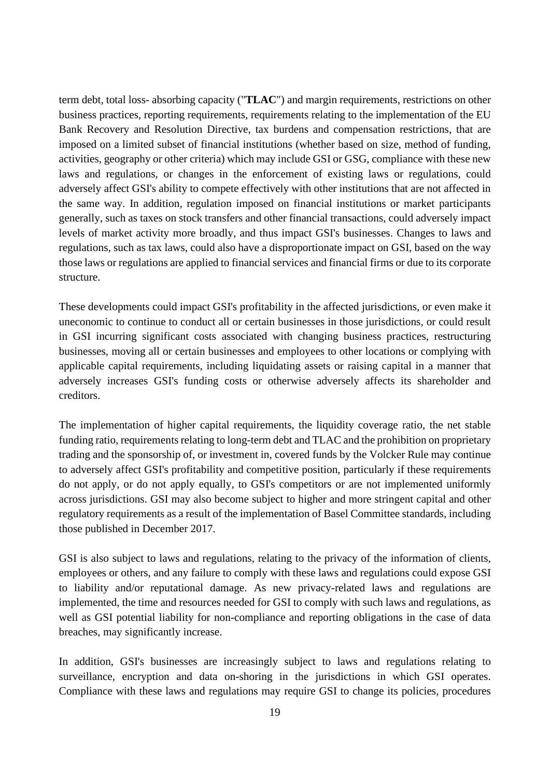term debt, total loss- absorbing capacity ("**TLAC**") and margin requirements, restrictions on other business practices, reporting requirements, requirements relating to the implementation of the EU Bank Recovery and Resolution Directive, tax burdens and compensation restrictions, that are imposed on a limited subset of financial institutions (whether based on size, method of funding, activities, geography or other criteria) which may include GSI or GSG, compliance with these new laws and regulations, or changes in the enforcement of existing laws or regulations, could adversely affect GSI's ability to compete effectively with other institutions that are not affected in the same way. In addition, regulation imposed on financial institutions or market participants generally, such as taxes on stock transfers and other financial transactions, could adversely impact levels of market activity more broadly, and thus impact GSI's businesses. Changes to laws and regulations, such as tax laws, could also have a disproportionate impact on GSI, based on the way those laws or regulations are applied to financial services and financial firms or due to its corporate structure.

These developments could impact GSI's profitability in the affected jurisdictions, or even make it uneconomic to continue to conduct all or certain businesses in those jurisdictions, or could result in GSI incurring significant costs associated with changing business practices, restructuring businesses, moving all or certain businesses and employees to other locations or complying with applicable capital requirements, including liquidating assets or raising capital in a manner that adversely increases GSI's funding costs or otherwise adversely affects its shareholder and creditors.

The implementation of higher capital requirements, the liquidity coverage ratio, the net stable funding ratio, requirements relating to long-term debt and TLAC and the prohibition on proprietary trading and the sponsorship of, or investment in, covered funds by the Volcker Rule may continue to adversely affect GSI's profitability and competitive position, particularly if these requirements do not apply, or do not apply equally, to GSI's competitors or are not implemented uniformly across jurisdictions. GSI may also become subject to higher and more stringent capital and other regulatory requirements as a result of the implementation of Basel Committee standards, including those published in December 2017.

GSI is also subject to laws and regulations, relating to the privacy of the information of clients, employees or others, and any failure to comply with these laws and regulations could expose GSI to liability and/or reputational damage. As new privacy-related laws and regulations are implemented, the time and resources needed for GSI to comply with such laws and regulations, as well as GSI potential liability for non-compliance and reporting obligations in the case of data breaches, may significantly increase.

In addition, GSI's businesses are increasingly subject to laws and regulations relating to surveillance, encryption and data on-shoring in the jurisdictions in which GSI operates. Compliance with these laws and regulations may require GSI to change its policies, procedures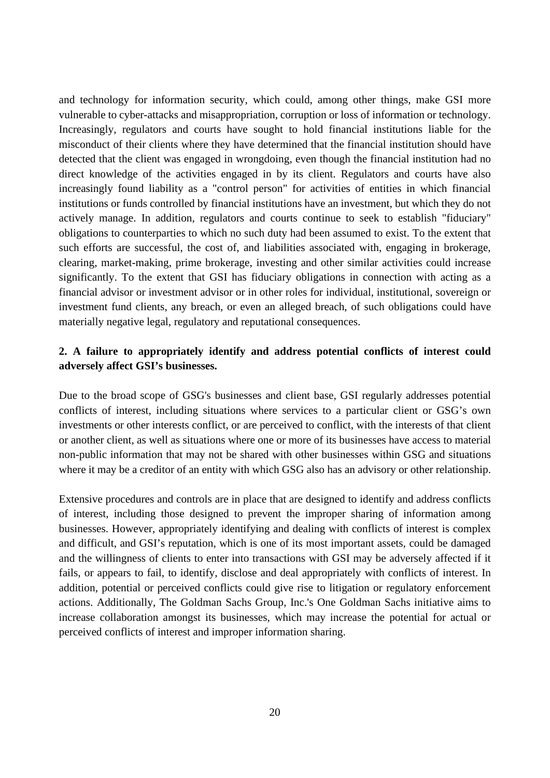and technology for information security, which could, among other things, make GSI more vulnerable to cyber-attacks and misappropriation, corruption or loss of information or technology. Increasingly, regulators and courts have sought to hold financial institutions liable for the misconduct of their clients where they have determined that the financial institution should have detected that the client was engaged in wrongdoing, even though the financial institution had no direct knowledge of the activities engaged in by its client. Regulators and courts have also increasingly found liability as a "control person" for activities of entities in which financial institutions or funds controlled by financial institutions have an investment, but which they do not actively manage. In addition, regulators and courts continue to seek to establish "fiduciary" obligations to counterparties to which no such duty had been assumed to exist. To the extent that such efforts are successful, the cost of, and liabilities associated with, engaging in brokerage, clearing, market-making, prime brokerage, investing and other similar activities could increase significantly. To the extent that GSI has fiduciary obligations in connection with acting as a financial advisor or investment advisor or in other roles for individual, institutional, sovereign or investment fund clients, any breach, or even an alleged breach, of such obligations could have materially negative legal, regulatory and reputational consequences.

## **2. A failure to appropriately identify and address potential conflicts of interest could adversely affect GSI's businesses.**

Due to the broad scope of GSG's businesses and client base, GSI regularly addresses potential conflicts of interest, including situations where services to a particular client or GSG's own investments or other interests conflict, or are perceived to conflict, with the interests of that client or another client, as well as situations where one or more of its businesses have access to material non-public information that may not be shared with other businesses within GSG and situations where it may be a creditor of an entity with which GSG also has an advisory or other relationship.

Extensive procedures and controls are in place that are designed to identify and address conflicts of interest, including those designed to prevent the improper sharing of information among businesses. However, appropriately identifying and dealing with conflicts of interest is complex and difficult, and GSI's reputation, which is one of its most important assets, could be damaged and the willingness of clients to enter into transactions with GSI may be adversely affected if it fails, or appears to fail, to identify, disclose and deal appropriately with conflicts of interest. In addition, potential or perceived conflicts could give rise to litigation or regulatory enforcement actions. Additionally, The Goldman Sachs Group, Inc.'s One Goldman Sachs initiative aims to increase collaboration amongst its businesses, which may increase the potential for actual or perceived conflicts of interest and improper information sharing.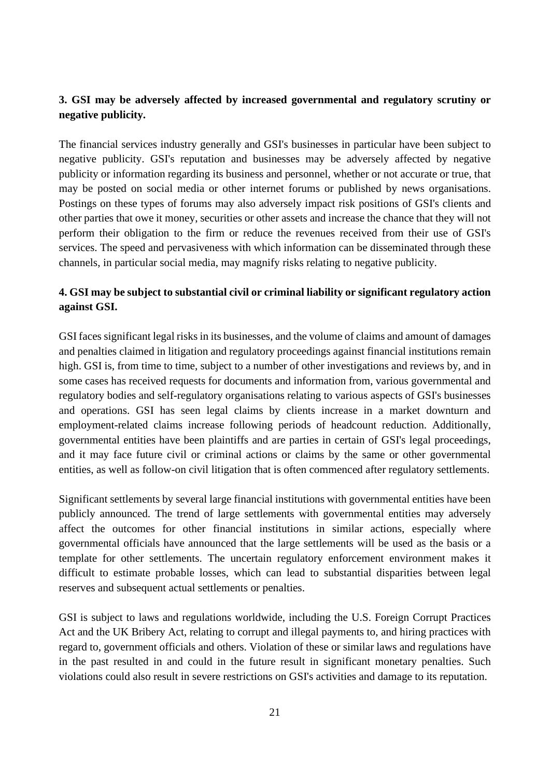# **3. GSI may be adversely affected by increased governmental and regulatory scrutiny or negative publicity.**

The financial services industry generally and GSI's businesses in particular have been subject to negative publicity. GSI's reputation and businesses may be adversely affected by negative publicity or information regarding its business and personnel, whether or not accurate or true, that may be posted on social media or other internet forums or published by news organisations. Postings on these types of forums may also adversely impact risk positions of GSI's clients and other parties that owe it money, securities or other assets and increase the chance that they will not perform their obligation to the firm or reduce the revenues received from their use of GSI's services. The speed and pervasiveness with which information can be disseminated through these channels, in particular social media, may magnify risks relating to negative publicity.

## **4. GSI may be subject to substantial civil or criminal liability or significant regulatory action against GSI.**

GSI faces significant legal risks in its businesses, and the volume of claims and amount of damages and penalties claimed in litigation and regulatory proceedings against financial institutions remain high. GSI is, from time to time, subject to a number of other investigations and reviews by, and in some cases has received requests for documents and information from, various governmental and regulatory bodies and self-regulatory organisations relating to various aspects of GSI's businesses and operations. GSI has seen legal claims by clients increase in a market downturn and employment-related claims increase following periods of headcount reduction. Additionally, governmental entities have been plaintiffs and are parties in certain of GSI's legal proceedings, and it may face future civil or criminal actions or claims by the same or other governmental entities, as well as follow-on civil litigation that is often commenced after regulatory settlements.

Significant settlements by several large financial institutions with governmental entities have been publicly announced. The trend of large settlements with governmental entities may adversely affect the outcomes for other financial institutions in similar actions, especially where governmental officials have announced that the large settlements will be used as the basis or a template for other settlements. The uncertain regulatory enforcement environment makes it difficult to estimate probable losses, which can lead to substantial disparities between legal reserves and subsequent actual settlements or penalties.

GSI is subject to laws and regulations worldwide, including the U.S. Foreign Corrupt Practices Act and the UK Bribery Act, relating to corrupt and illegal payments to, and hiring practices with regard to, government officials and others. Violation of these or similar laws and regulations have in the past resulted in and could in the future result in significant monetary penalties. Such violations could also result in severe restrictions on GSI's activities and damage to its reputation.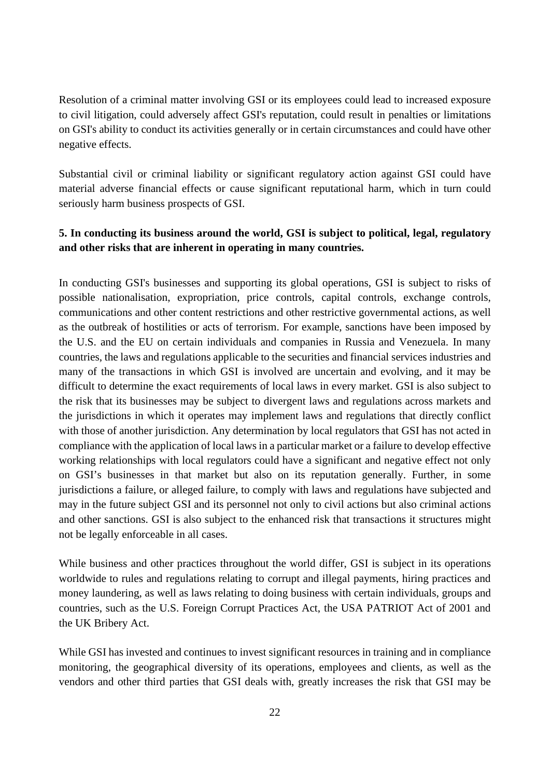Resolution of a criminal matter involving GSI or its employees could lead to increased exposure to civil litigation, could adversely affect GSI's reputation, could result in penalties or limitations on GSI's ability to conduct its activities generally or in certain circumstances and could have other negative effects.

Substantial civil or criminal liability or significant regulatory action against GSI could have material adverse financial effects or cause significant reputational harm, which in turn could seriously harm business prospects of GSI.

## **5. In conducting its business around the world, GSI is subject to political, legal, regulatory and other risks that are inherent in operating in many countries.**

In conducting GSI's businesses and supporting its global operations, GSI is subject to risks of possible nationalisation, expropriation, price controls, capital controls, exchange controls, communications and other content restrictions and other restrictive governmental actions, as well as the outbreak of hostilities or acts of terrorism. For example, sanctions have been imposed by the U.S. and the EU on certain individuals and companies in Russia and Venezuela. In many countries, the laws and regulations applicable to the securities and financial services industries and many of the transactions in which GSI is involved are uncertain and evolving, and it may be difficult to determine the exact requirements of local laws in every market. GSI is also subject to the risk that its businesses may be subject to divergent laws and regulations across markets and the jurisdictions in which it operates may implement laws and regulations that directly conflict with those of another jurisdiction. Any determination by local regulators that GSI has not acted in compliance with the application of local laws in a particular market or a failure to develop effective working relationships with local regulators could have a significant and negative effect not only on GSI's businesses in that market but also on its reputation generally. Further, in some jurisdictions a failure, or alleged failure, to comply with laws and regulations have subjected and may in the future subject GSI and its personnel not only to civil actions but also criminal actions and other sanctions. GSI is also subject to the enhanced risk that transactions it structures might not be legally enforceable in all cases.

While business and other practices throughout the world differ, GSI is subject in its operations worldwide to rules and regulations relating to corrupt and illegal payments, hiring practices and money laundering, as well as laws relating to doing business with certain individuals, groups and countries, such as the U.S. Foreign Corrupt Practices Act, the USA PATRIOT Act of 2001 and the UK Bribery Act.

While GSI has invested and continues to invest significant resources in training and in compliance monitoring, the geographical diversity of its operations, employees and clients, as well as the vendors and other third parties that GSI deals with, greatly increases the risk that GSI may be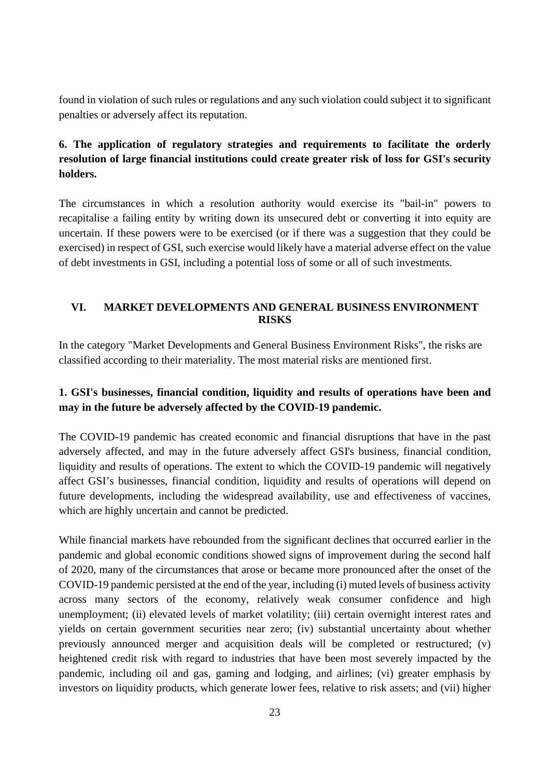found in violation of such rules or regulations and any such violation could subject it to significant penalties or adversely affect its reputation.

# **6. The application of regulatory strategies and requirements to facilitate the orderly resolution of large financial institutions could create greater risk of loss for GSI's security holders.**

The circumstances in which a resolution authority would exercise its "bail-in" powers to recapitalise a failing entity by writing down its unsecured debt or converting it into equity are uncertain. If these powers were to be exercised (or if there was a suggestion that they could be exercised) in respect of GSI, such exercise would likely have a material adverse effect on the value of debt investments in GSI, including a potential loss of some or all of such investments.

## <span id="page-22-0"></span>**VI. MARKET DEVELOPMENTS AND GENERAL BUSINESS ENVIRONMENT RISKS**

In the category "Market Developments and General Business Environment Risks", the risks are classified according to their materiality. The most material risks are mentioned first.

# **1. GSI's businesses, financial condition, liquidity and results of operations have been and may in the future be adversely affected by the COVID-19 pandemic.**

The COVID-19 pandemic has created economic and financial disruptions that have in the past adversely affected, and may in the future adversely affect GSI's business, financial condition, liquidity and results of operations. The extent to which the COVID-19 pandemic will negatively affect GSI's businesses, financial condition, liquidity and results of operations will depend on future developments, including the widespread availability, use and effectiveness of vaccines, which are highly uncertain and cannot be predicted.

While financial markets have rebounded from the significant declines that occurred earlier in the pandemic and global economic conditions showed signs of improvement during the second half of 2020, many of the circumstances that arose or became more pronounced after the onset of the COVID-19 pandemic persisted at the end of the year, including (i) muted levels of business activity across many sectors of the economy, relatively weak consumer confidence and high unemployment; (ii) elevated levels of market volatility; (iii) certain overnight interest rates and yields on certain government securities near zero; (iv) substantial uncertainty about whether previously announced merger and acquisition deals will be completed or restructured; (v) heightened credit risk with regard to industries that have been most severely impacted by the pandemic, including oil and gas, gaming and lodging, and airlines; (vi) greater emphasis by investors on liquidity products, which generate lower fees, relative to risk assets; and (vii) higher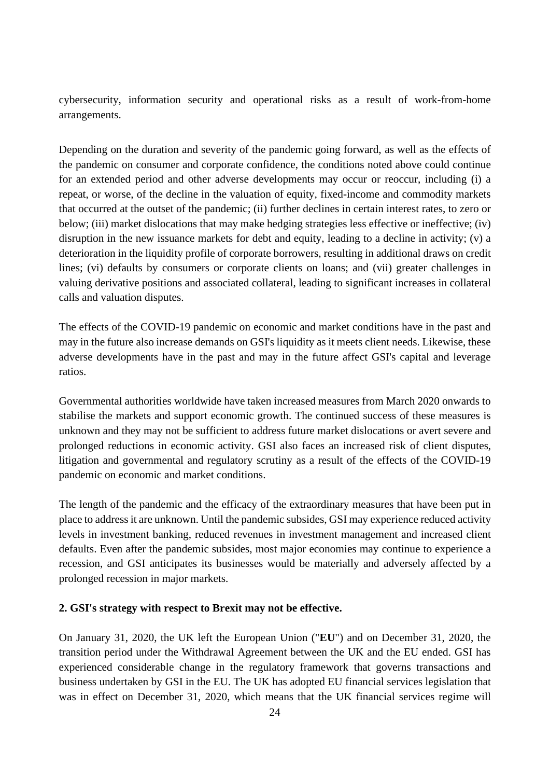cybersecurity, information security and operational risks as a result of work-from-home arrangements.

Depending on the duration and severity of the pandemic going forward, as well as the effects of the pandemic on consumer and corporate confidence, the conditions noted above could continue for an extended period and other adverse developments may occur or reoccur, including (i) a repeat, or worse, of the decline in the valuation of equity, fixed-income and commodity markets that occurred at the outset of the pandemic; (ii) further declines in certain interest rates, to zero or below; (iii) market dislocations that may make hedging strategies less effective or ineffective; (iv) disruption in the new issuance markets for debt and equity, leading to a decline in activity; (v) a deterioration in the liquidity profile of corporate borrowers, resulting in additional draws on credit lines; (vi) defaults by consumers or corporate clients on loans; and (vii) greater challenges in valuing derivative positions and associated collateral, leading to significant increases in collateral calls and valuation disputes.

The effects of the COVID-19 pandemic on economic and market conditions have in the past and may in the future also increase demands on GSI's liquidity as it meets client needs. Likewise, these adverse developments have in the past and may in the future affect GSI's capital and leverage ratios.

Governmental authorities worldwide have taken increased measures from March 2020 onwards to stabilise the markets and support economic growth. The continued success of these measures is unknown and they may not be sufficient to address future market dislocations or avert severe and prolonged reductions in economic activity. GSI also faces an increased risk of client disputes, litigation and governmental and regulatory scrutiny as a result of the effects of the COVID-19 pandemic on economic and market conditions.

The length of the pandemic and the efficacy of the extraordinary measures that have been put in place to address it are unknown. Until the pandemic subsides, GSI may experience reduced activity levels in investment banking, reduced revenues in investment management and increased client defaults. Even after the pandemic subsides, most major economies may continue to experience a recession, and GSI anticipates its businesses would be materially and adversely affected by a prolonged recession in major markets.

#### **2. GSI's strategy with respect to Brexit may not be effective.**

On January 31, 2020, the UK left the European Union ("**EU**") and on December 31, 2020, the transition period under the Withdrawal Agreement between the UK and the EU ended. GSI has experienced considerable change in the regulatory framework that governs transactions and business undertaken by GSI in the EU. The UK has adopted EU financial services legislation that was in effect on December 31, 2020, which means that the UK financial services regime will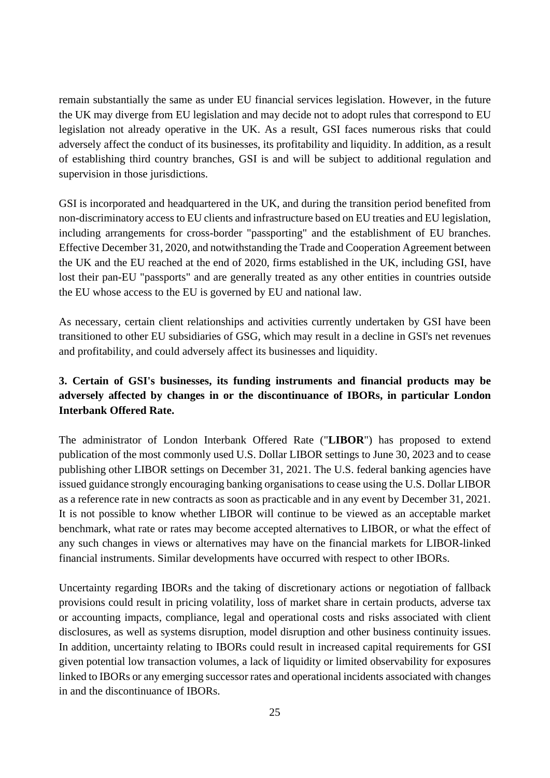remain substantially the same as under EU financial services legislation. However, in the future the UK may diverge from EU legislation and may decide not to adopt rules that correspond to EU legislation not already operative in the UK. As a result, GSI faces numerous risks that could adversely affect the conduct of its businesses, its profitability and liquidity. In addition, as a result of establishing third country branches, GSI is and will be subject to additional regulation and supervision in those jurisdictions.

GSI is incorporated and headquartered in the UK, and during the transition period benefited from non-discriminatory access to EU clients and infrastructure based on EU treaties and EU legislation, including arrangements for cross-border "passporting" and the establishment of EU branches. Effective December 31, 2020, and notwithstanding the Trade and Cooperation Agreement between the UK and the EU reached at the end of 2020, firms established in the UK, including GSI, have lost their pan-EU "passports" and are generally treated as any other entities in countries outside the EU whose access to the EU is governed by EU and national law.

As necessary, certain client relationships and activities currently undertaken by GSI have been transitioned to other EU subsidiaries of GSG, which may result in a decline in GSI's net revenues and profitability, and could adversely affect its businesses and liquidity.

# **3. Certain of GSI's businesses, its funding instruments and financial products may be adversely affected by changes in or the discontinuance of IBORs, in particular London Interbank Offered Rate.**

The administrator of London Interbank Offered Rate ("**LIBOR**") has proposed to extend publication of the most commonly used U.S. Dollar LIBOR settings to June 30, 2023 and to cease publishing other LIBOR settings on December 31, 2021. The U.S. federal banking agencies have issued guidance strongly encouraging banking organisations to cease using the U.S. Dollar LIBOR as a reference rate in new contracts as soon as practicable and in any event by December 31, 2021. It is not possible to know whether LIBOR will continue to be viewed as an acceptable market benchmark, what rate or rates may become accepted alternatives to LIBOR, or what the effect of any such changes in views or alternatives may have on the financial markets for LIBOR-linked financial instruments. Similar developments have occurred with respect to other IBORs.

Uncertainty regarding IBORs and the taking of discretionary actions or negotiation of fallback provisions could result in pricing volatility, loss of market share in certain products, adverse tax or accounting impacts, compliance, legal and operational costs and risks associated with client disclosures, as well as systems disruption, model disruption and other business continuity issues. In addition, uncertainty relating to IBORs could result in increased capital requirements for GSI given potential low transaction volumes, a lack of liquidity or limited observability for exposures linked to IBORs or any emerging successor rates and operational incidents associated with changes in and the discontinuance of IBORs.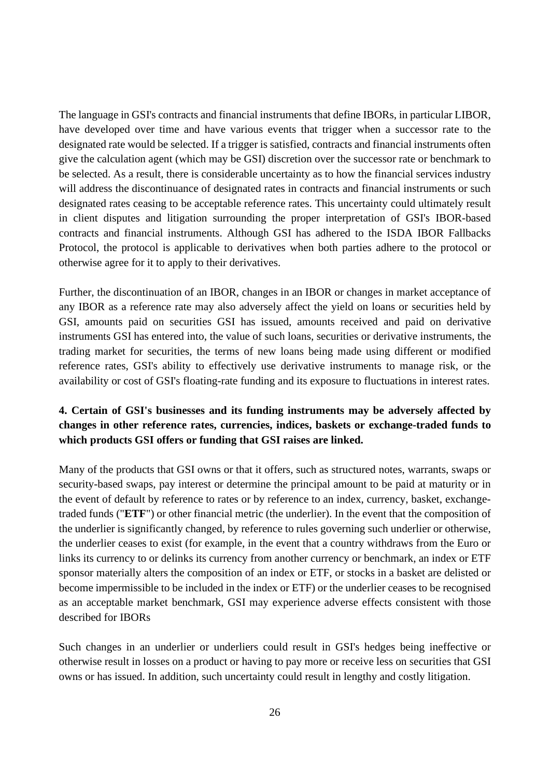The language in GSI's contracts and financial instruments that define IBORs, in particular LIBOR, have developed over time and have various events that trigger when a successor rate to the designated rate would be selected. If a trigger is satisfied, contracts and financial instruments often give the calculation agent (which may be GSI) discretion over the successor rate or benchmark to be selected. As a result, there is considerable uncertainty as to how the financial services industry will address the discontinuance of designated rates in contracts and financial instruments or such designated rates ceasing to be acceptable reference rates. This uncertainty could ultimately result in client disputes and litigation surrounding the proper interpretation of GSI's IBOR-based contracts and financial instruments. Although GSI has adhered to the ISDA IBOR Fallbacks Protocol, the protocol is applicable to derivatives when both parties adhere to the protocol or otherwise agree for it to apply to their derivatives.

Further, the discontinuation of an IBOR, changes in an IBOR or changes in market acceptance of any IBOR as a reference rate may also adversely affect the yield on loans or securities held by GSI, amounts paid on securities GSI has issued, amounts received and paid on derivative instruments GSI has entered into, the value of such loans, securities or derivative instruments, the trading market for securities, the terms of new loans being made using different or modified reference rates, GSI's ability to effectively use derivative instruments to manage risk, or the availability or cost of GSI's floating-rate funding and its exposure to fluctuations in interest rates.

# **4. Certain of GSI's businesses and its funding instruments may be adversely affected by changes in other reference rates, currencies, indices, baskets or exchange-traded funds to which products GSI offers or funding that GSI raises are linked.**

Many of the products that GSI owns or that it offers, such as structured notes, warrants, swaps or security-based swaps, pay interest or determine the principal amount to be paid at maturity or in the event of default by reference to rates or by reference to an index, currency, basket, exchangetraded funds ("**ETF**") or other financial metric (the underlier). In the event that the composition of the underlier is significantly changed, by reference to rules governing such underlier or otherwise, the underlier ceases to exist (for example, in the event that a country withdraws from the Euro or links its currency to or delinks its currency from another currency or benchmark, an index or ETF sponsor materially alters the composition of an index or ETF, or stocks in a basket are delisted or become impermissible to be included in the index or ETF) or the underlier ceases to be recognised as an acceptable market benchmark, GSI may experience adverse effects consistent with those described for IBORs

Such changes in an underlier or underliers could result in GSI's hedges being ineffective or otherwise result in losses on a product or having to pay more or receive less on securities that GSI owns or has issued. In addition, such uncertainty could result in lengthy and costly litigation.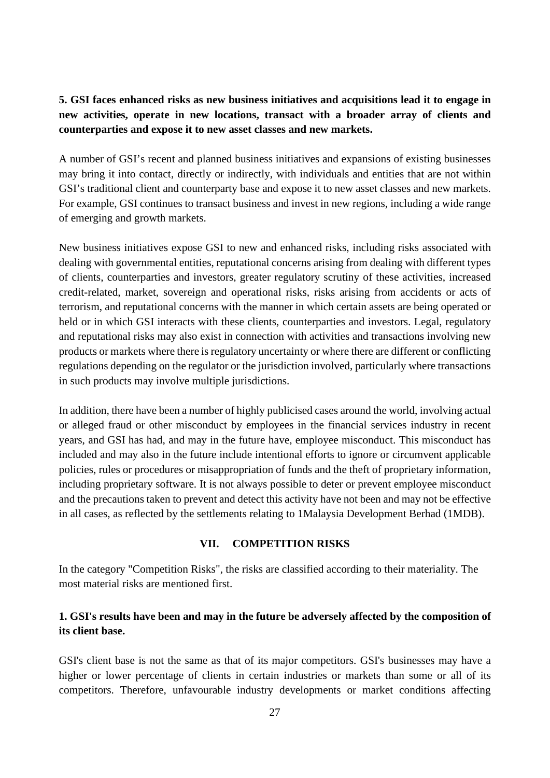# **5. GSI faces enhanced risks as new business initiatives and acquisitions lead it to engage in new activities, operate in new locations, transact with a broader array of clients and counterparties and expose it to new asset classes and new markets.**

A number of GSI's recent and planned business initiatives and expansions of existing businesses may bring it into contact, directly or indirectly, with individuals and entities that are not within GSI's traditional client and counterparty base and expose it to new asset classes and new markets. For example, GSI continues to transact business and invest in new regions, including a wide range of emerging and growth markets.

New business initiatives expose GSI to new and enhanced risks, including risks associated with dealing with governmental entities, reputational concerns arising from dealing with different types of clients, counterparties and investors, greater regulatory scrutiny of these activities, increased credit-related, market, sovereign and operational risks, risks arising from accidents or acts of terrorism, and reputational concerns with the manner in which certain assets are being operated or held or in which GSI interacts with these clients, counterparties and investors. Legal, regulatory and reputational risks may also exist in connection with activities and transactions involving new products or markets where there is regulatory uncertainty or where there are different or conflicting regulations depending on the regulator or the jurisdiction involved, particularly where transactions in such products may involve multiple jurisdictions.

In addition, there have been a number of highly publicised cases around the world, involving actual or alleged fraud or other misconduct by employees in the financial services industry in recent years, and GSI has had, and may in the future have, employee misconduct. This misconduct has included and may also in the future include intentional efforts to ignore or circumvent applicable policies, rules or procedures or misappropriation of funds and the theft of proprietary information, including proprietary software. It is not always possible to deter or prevent employee misconduct and the precautions taken to prevent and detect this activity have not been and may not be effective in all cases, as reflected by the settlements relating to 1Malaysia Development Berhad (1MDB).

#### **VII. COMPETITION RISKS**

<span id="page-26-0"></span>In the category "Competition Risks", the risks are classified according to their materiality. The most material risks are mentioned first.

## **1. GSI's results have been and may in the future be adversely affected by the composition of its client base.**

GSI's client base is not the same as that of its major competitors. GSI's businesses may have a higher or lower percentage of clients in certain industries or markets than some or all of its competitors. Therefore, unfavourable industry developments or market conditions affecting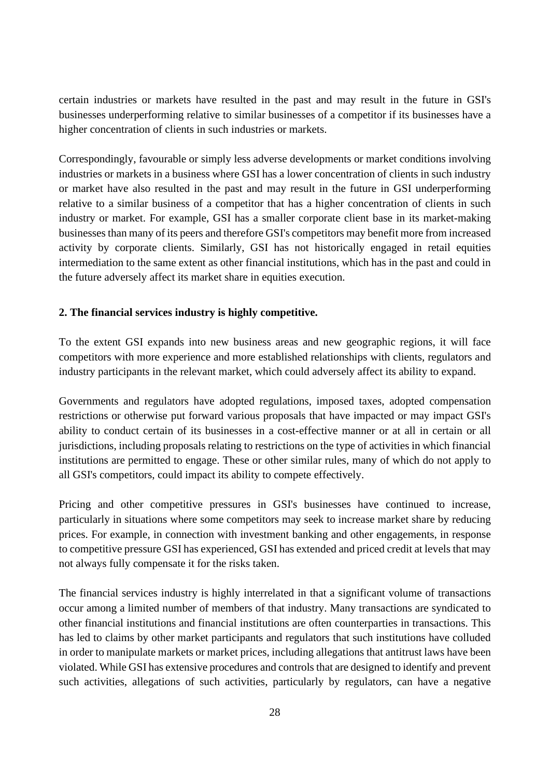certain industries or markets have resulted in the past and may result in the future in GSI's businesses underperforming relative to similar businesses of a competitor if its businesses have a higher concentration of clients in such industries or markets.

Correspondingly, favourable or simply less adverse developments or market conditions involving industries or markets in a business where GSI has a lower concentration of clients in such industry or market have also resulted in the past and may result in the future in GSI underperforming relative to a similar business of a competitor that has a higher concentration of clients in such industry or market. For example, GSI has a smaller corporate client base in its market-making businesses than many of its peers and therefore GSI's competitors may benefit more from increased activity by corporate clients. Similarly, GSI has not historically engaged in retail equities intermediation to the same extent as other financial institutions, which has in the past and could in the future adversely affect its market share in equities execution.

## **2. The financial services industry is highly competitive.**

To the extent GSI expands into new business areas and new geographic regions, it will face competitors with more experience and more established relationships with clients, regulators and industry participants in the relevant market, which could adversely affect its ability to expand.

Governments and regulators have adopted regulations, imposed taxes, adopted compensation restrictions or otherwise put forward various proposals that have impacted or may impact GSI's ability to conduct certain of its businesses in a cost-effective manner or at all in certain or all jurisdictions, including proposals relating to restrictions on the type of activities in which financial institutions are permitted to engage. These or other similar rules, many of which do not apply to all GSI's competitors, could impact its ability to compete effectively.

Pricing and other competitive pressures in GSI's businesses have continued to increase, particularly in situations where some competitors may seek to increase market share by reducing prices. For example, in connection with investment banking and other engagements, in response to competitive pressure GSI has experienced, GSI has extended and priced credit at levels that may not always fully compensate it for the risks taken.

The financial services industry is highly interrelated in that a significant volume of transactions occur among a limited number of members of that industry. Many transactions are syndicated to other financial institutions and financial institutions are often counterparties in transactions. This has led to claims by other market participants and regulators that such institutions have colluded in order to manipulate markets or market prices, including allegations that antitrust laws have been violated. While GSI has extensive procedures and controls that are designed to identify and prevent such activities, allegations of such activities, particularly by regulators, can have a negative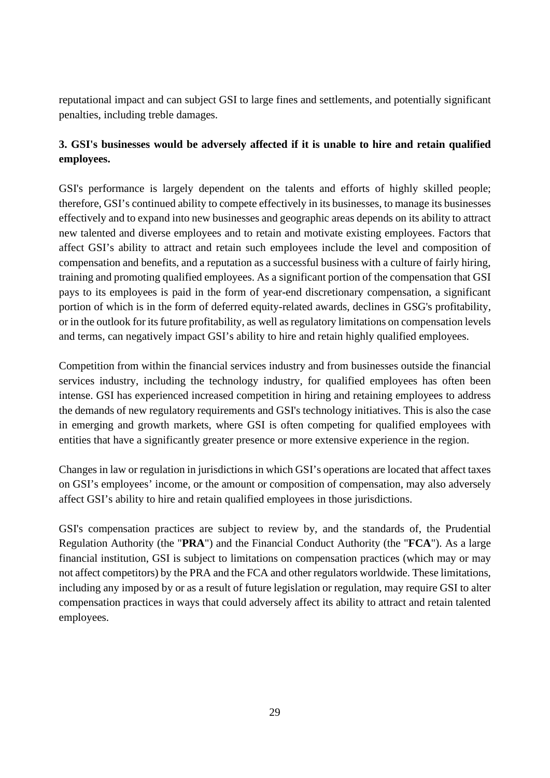reputational impact and can subject GSI to large fines and settlements, and potentially significant penalties, including treble damages.

# **3. GSI's businesses would be adversely affected if it is unable to hire and retain qualified employees.**

GSI's performance is largely dependent on the talents and efforts of highly skilled people; therefore, GSI's continued ability to compete effectively in its businesses, to manage its businesses effectively and to expand into new businesses and geographic areas depends on its ability to attract new talented and diverse employees and to retain and motivate existing employees. Factors that affect GSI's ability to attract and retain such employees include the level and composition of compensation and benefits, and a reputation as a successful business with a culture of fairly hiring, training and promoting qualified employees. As a significant portion of the compensation that GSI pays to its employees is paid in the form of year-end discretionary compensation, a significant portion of which is in the form of deferred equity-related awards, declines in GSG's profitability, or in the outlook for its future profitability, as well as regulatory limitations on compensation levels and terms, can negatively impact GSI's ability to hire and retain highly qualified employees.

Competition from within the financial services industry and from businesses outside the financial services industry, including the technology industry, for qualified employees has often been intense. GSI has experienced increased competition in hiring and retaining employees to address the demands of new regulatory requirements and GSI's technology initiatives. This is also the case in emerging and growth markets, where GSI is often competing for qualified employees with entities that have a significantly greater presence or more extensive experience in the region.

Changes in law or regulation in jurisdictions in which GSI's operations are located that affect taxes on GSI's employees' income, or the amount or composition of compensation, may also adversely affect GSI's ability to hire and retain qualified employees in those jurisdictions.

GSI's compensation practices are subject to review by, and the standards of, the Prudential Regulation Authority (the "**PRA**") and the Financial Conduct Authority (the "**FCA**"). As a large financial institution, GSI is subject to limitations on compensation practices (which may or may not affect competitors) by the PRA and the FCA and other regulators worldwide. These limitations, including any imposed by or as a result of future legislation or regulation, may require GSI to alter compensation practices in ways that could adversely affect its ability to attract and retain talented employees.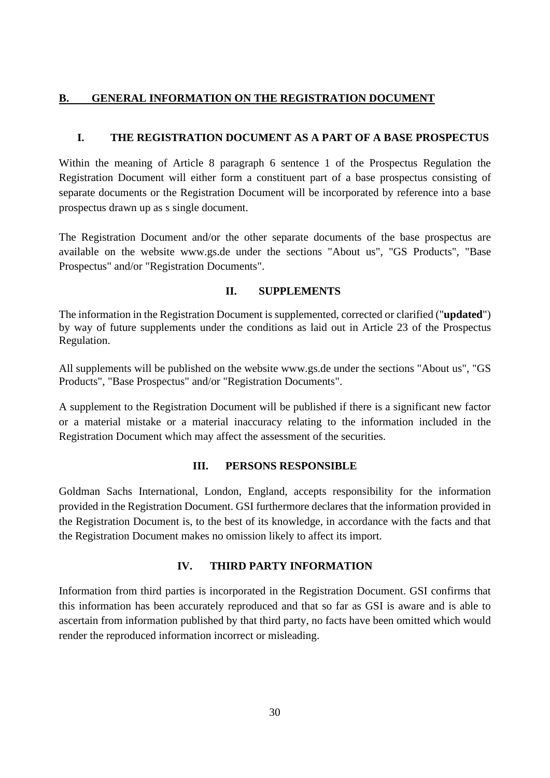## <span id="page-29-0"></span>**B. GENERAL INFORMATION ON THE REGISTRATION DOCUMENT**

## <span id="page-29-1"></span>**I. THE REGISTRATION DOCUMENT AS A PART OF A BASE PROSPECTUS**

Within the meaning of Article 8 paragraph 6 sentence 1 of the Prospectus Regulation the Registration Document will either form a constituent part of a base prospectus consisting of separate documents or the Registration Document will be incorporated by reference into a base prospectus drawn up as s single document.

The Registration Document and/or the other separate documents of the base prospectus are available on the website www.gs.de under the sections "About us", "GS Products", "Base Prospectus" and/or "Registration Documents".

## **II. SUPPLEMENTS**

<span id="page-29-2"></span>The information in the Registration Document is supplemented, corrected or clarified ("**updated**") by way of future supplements under the conditions as laid out in Article 23 of the Prospectus Regulation.

All supplements will be published on the website www.gs.de under the sections "About us", "GS Products", "Base Prospectus" and/or "Registration Documents".

A supplement to the Registration Document will be published if there is a significant new factor or a material mistake or a material inaccuracy relating to the information included in the Registration Document which may affect the assessment of the securities.

#### **III. PERSONS RESPONSIBLE**

<span id="page-29-3"></span>Goldman Sachs International, London, England, accepts responsibility for the information provided in the Registration Document. GSI furthermore declares that the information provided in the Registration Document is, to the best of its knowledge, in accordance with the facts and that the Registration Document makes no omission likely to affect its import.

#### **IV. THIRD PARTY INFORMATION**

<span id="page-29-4"></span>Information from third parties is incorporated in the Registration Document. GSI confirms that this information has been accurately reproduced and that so far as GSI is aware and is able to ascertain from information published by that third party, no facts have been omitted which would render the reproduced information incorrect or misleading.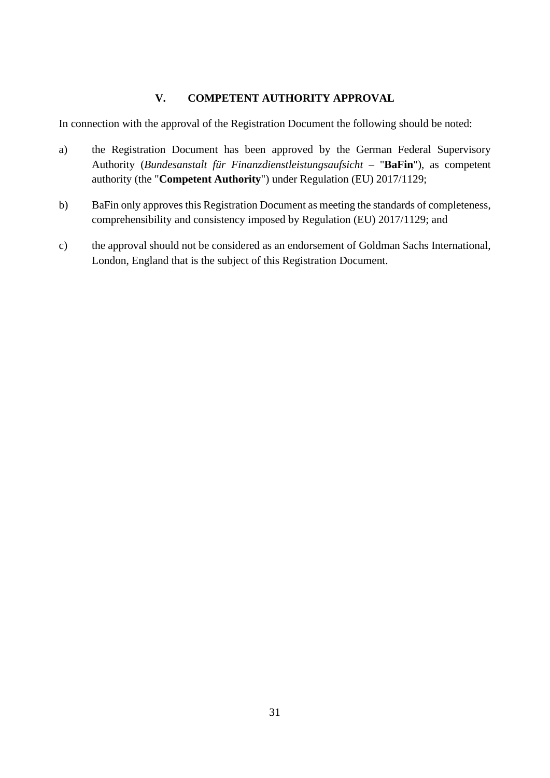## **V. COMPETENT AUTHORITY APPROVAL**

<span id="page-30-0"></span>In connection with the approval of the Registration Document the following should be noted:

- a) the Registration Document has been approved by the German Federal Supervisory Authority (*Bundesanstalt für Finanzdienstleistungsaufsicht –* "**BaFin**"), as competent authority (the "**Competent Authority**") under Regulation (EU) 2017/1129;
- b) BaFin only approves this Registration Document as meeting the standards of completeness, comprehensibility and consistency imposed by Regulation (EU) 2017/1129; and
- c) the approval should not be considered as an endorsement of Goldman Sachs International, London, England that is the subject of this Registration Document.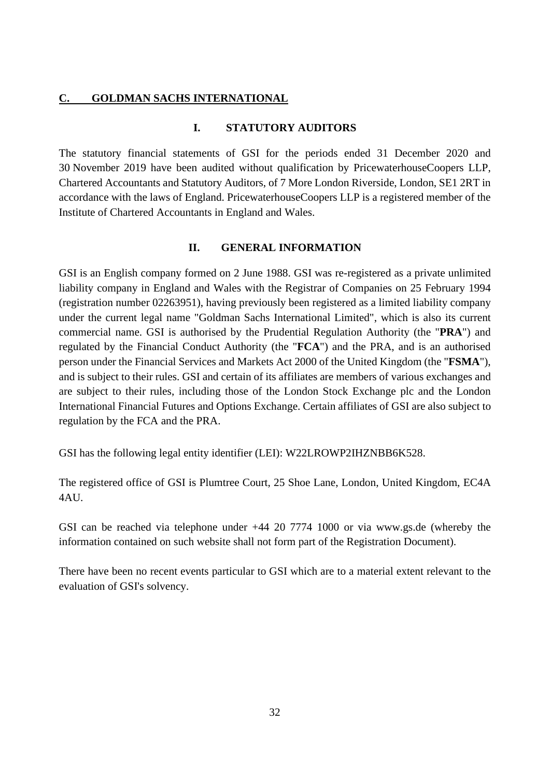#### <span id="page-31-1"></span><span id="page-31-0"></span>**C. GOLDMAN SACHS INTERNATIONAL**

## **I. STATUTORY AUDITORS**

The statutory financial statements of GSI for the periods ended 31 December 2020 and 30 November 2019 have been audited without qualification by PricewaterhouseCoopers LLP, Chartered Accountants and Statutory Auditors, of 7 More London Riverside, London, SE1 2RT in accordance with the laws of England. PricewaterhouseCoopers LLP is a registered member of the Institute of Chartered Accountants in England and Wales.

#### **II. GENERAL INFORMATION**

<span id="page-31-2"></span>GSI is an English company formed on 2 June 1988. GSI was re-registered as a private unlimited liability company in England and Wales with the Registrar of Companies on 25 February 1994 (registration number 02263951), having previously been registered as a limited liability company under the current legal name "Goldman Sachs International Limited", which is also its current commercial name. GSI is authorised by the Prudential Regulation Authority (the "**PRA**") and regulated by the Financial Conduct Authority (the "**FCA**") and the PRA, and is an authorised person under the Financial Services and Markets Act 2000 of the United Kingdom (the "**FSMA**"), and is subject to their rules. GSI and certain of its affiliates are members of various exchanges and are subject to their rules, including those of the London Stock Exchange plc and the London International Financial Futures and Options Exchange. Certain affiliates of GSI are also subject to regulation by the FCA and the PRA.

GSI has the following legal entity identifier (LEI): W22LROWP2IHZNBB6K528.

The registered office of GSI is Plumtree Court, 25 Shoe Lane, London, United Kingdom, EC4A 4AU.

GSI can be reached via telephone under +44 20 7774 1000 or via www.gs.de (whereby the information contained on such website shall not form part of the Registration Document).

There have been no recent events particular to GSI which are to a material extent relevant to the evaluation of GSI's solvency.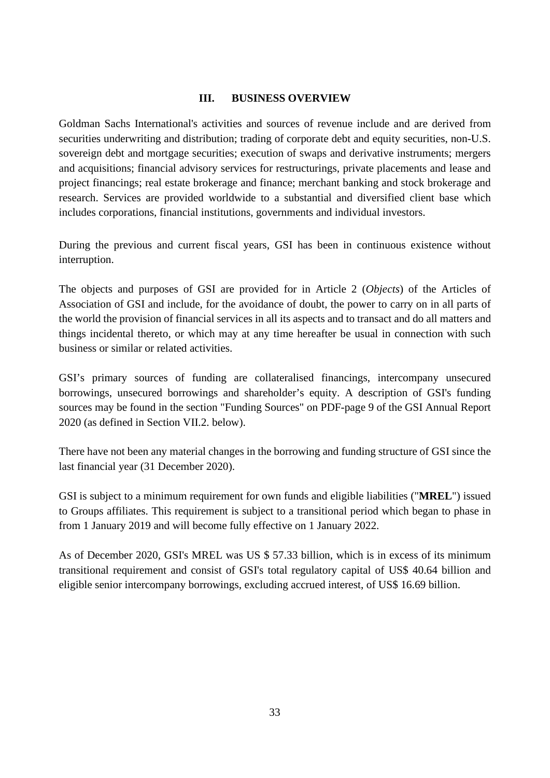#### **III. BUSINESS OVERVIEW**

<span id="page-32-0"></span>Goldman Sachs International's activities and sources of revenue include and are derived from securities underwriting and distribution; trading of corporate debt and equity securities, non-U.S. sovereign debt and mortgage securities; execution of swaps and derivative instruments; mergers and acquisitions; financial advisory services for restructurings, private placements and lease and project financings; real estate brokerage and finance; merchant banking and stock brokerage and research. Services are provided worldwide to a substantial and diversified client base which includes corporations, financial institutions, governments and individual investors.

During the previous and current fiscal years, GSI has been in continuous existence without interruption.

The objects and purposes of GSI are provided for in Article 2 (*Objects*) of the Articles of Association of GSI and include, for the avoidance of doubt, the power to carry on in all parts of the world the provision of financial services in all its aspects and to transact and do all matters and things incidental thereto, or which may at any time hereafter be usual in connection with such business or similar or related activities.

GSI's primary sources of funding are collateralised financings, intercompany unsecured borrowings, unsecured borrowings and shareholder's equity. A description of GSI's funding sources may be found in the section "Funding Sources" on PDF-page 9 of the GSI Annual Report 2020 (as defined in Section VII.2. below).

There have not been any material changes in the borrowing and funding structure of GSI since the last financial year (31 December 2020).

GSI is subject to a minimum requirement for own funds and eligible liabilities ("**MREL**") issued to Groups affiliates. This requirement is subject to a transitional period which began to phase in from 1 January 2019 and will become fully effective on 1 January 2022.

As of December 2020, GSI's MREL was US \$ 57.33 billion, which is in excess of its minimum transitional requirement and consist of GSI's total regulatory capital of US\$ 40.64 billion and eligible senior intercompany borrowings, excluding accrued interest, of US\$ 16.69 billion.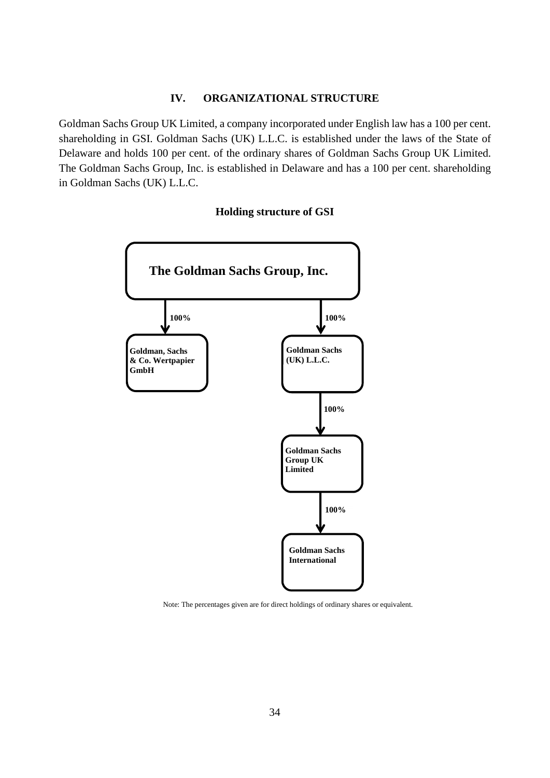#### **IV. ORGANIZATIONAL STRUCTURE**

<span id="page-33-0"></span>Goldman Sachs Group UK Limited, a company incorporated under English law has a 100 per cent. shareholding in GSI. Goldman Sachs (UK) L.L.C. is established under the laws of the State of Delaware and holds 100 per cent. of the ordinary shares of Goldman Sachs Group UK Limited. The Goldman Sachs Group, Inc. is established in Delaware and has a 100 per cent. shareholding in Goldman Sachs (UK) L.L.C.

#### **Holding structure of GSI**



Note: The percentages given are for direct holdings of ordinary shares or equivalent.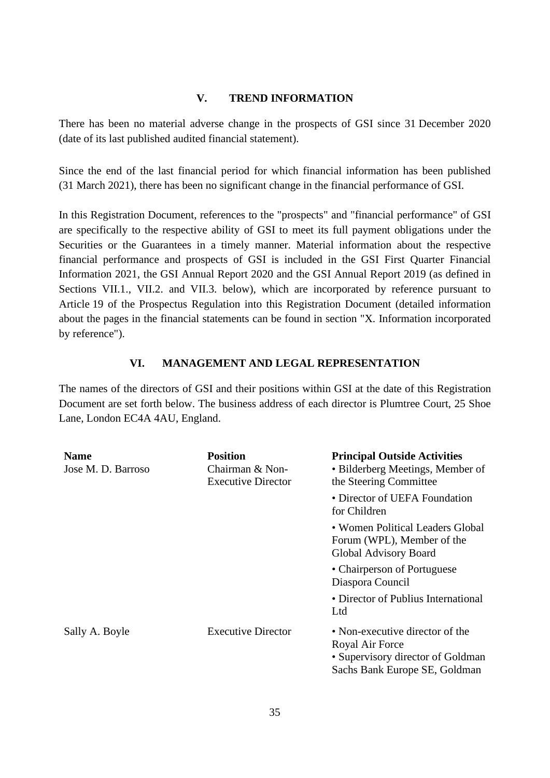#### **V. TREND INFORMATION**

<span id="page-34-0"></span>There has been no material adverse change in the prospects of GSI since 31 December 2020 (date of its last published audited financial statement).

Since the end of the last financial period for which financial information has been published (31 March 2021), there has been no significant change in the financial performance of GSI.

In this Registration Document, references to the "prospects" and "financial performance" of GSI are specifically to the respective ability of GSI to meet its full payment obligations under the Securities or the Guarantees in a timely manner. Material information about the respective financial performance and prospects of GSI is included in the GSI First Quarter Financial Information 2021, the GSI Annual Report 2020 and the GSI Annual Report 2019 (as defined in Sections VII.1., VII.2. and VII.3. below), which are incorporated by reference pursuant to Article 19 of the Prospectus Regulation into this Registration Document (detailed information about the pages in the financial statements can be found in section "X. Information incorporated by reference").

#### **VI. MANAGEMENT AND LEGAL REPRESENTATION**

<span id="page-34-1"></span>The names of the directors of GSI and their positions within GSI at the date of this Registration Document are set forth below. The business address of each director is Plumtree Court, 25 Shoe Lane, London EC4A 4AU, England.

| <b>Name</b><br>Jose M. D. Barroso | <b>Position</b><br>Chairman & Non-<br><b>Executive Director</b> | <b>Principal Outside Activities</b><br>• Bilderberg Meetings, Member of<br>the Steering Committee                        |  |
|-----------------------------------|-----------------------------------------------------------------|--------------------------------------------------------------------------------------------------------------------------|--|
|                                   |                                                                 | • Director of UEFA Foundation<br>for Children                                                                            |  |
|                                   |                                                                 | • Women Political Leaders Global<br>Forum (WPL), Member of the<br>Global Advisory Board                                  |  |
|                                   |                                                                 | • Chairperson of Portuguese<br>Diaspora Council                                                                          |  |
|                                   |                                                                 | • Director of Publius International<br>Ltd                                                                               |  |
| Sally A. Boyle                    | <b>Executive Director</b>                                       | • Non-executive director of the<br>Royal Air Force<br>• Supervisory director of Goldman<br>Sachs Bank Europe SE, Goldman |  |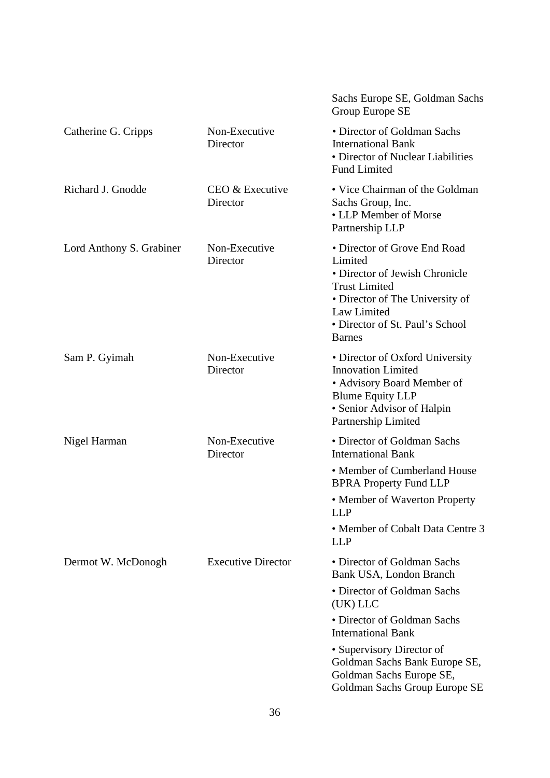|                          |                             | Sachs Europe SE, Goldman Sachs<br>Group Europe SE                                                                                                                                                       |
|--------------------------|-----------------------------|---------------------------------------------------------------------------------------------------------------------------------------------------------------------------------------------------------|
| Catherine G. Cripps      | Non-Executive<br>Director   | • Director of Goldman Sachs<br><b>International Bank</b><br>• Director of Nuclear Liabilities<br><b>Fund Limited</b>                                                                                    |
| Richard J. Gnodde        | CEO & Executive<br>Director | • Vice Chairman of the Goldman<br>Sachs Group, Inc.<br>• LLP Member of Morse<br>Partnership LLP                                                                                                         |
| Lord Anthony S. Grabiner | Non-Executive<br>Director   | • Director of Grove End Road<br>Limited<br>• Director of Jewish Chronicle<br><b>Trust Limited</b><br>• Director of The University of<br>Law Limited<br>• Director of St. Paul's School<br><b>Barnes</b> |
| Sam P. Gyimah            | Non-Executive<br>Director   | • Director of Oxford University<br><b>Innovation Limited</b><br>• Advisory Board Member of<br><b>Blume Equity LLP</b><br>• Senior Advisor of Halpin<br>Partnership Limited                              |
| Nigel Harman             | Non-Executive<br>Director   | • Director of Goldman Sachs<br><b>International Bank</b>                                                                                                                                                |
|                          |                             | • Member of Cumberland House<br><b>BPRA Property Fund LLP</b>                                                                                                                                           |
|                          |                             | • Member of Waverton Property<br><b>LLP</b>                                                                                                                                                             |
|                          |                             | • Member of Cobalt Data Centre 3<br><b>LLP</b>                                                                                                                                                          |
| Dermot W. McDonogh       | <b>Executive Director</b>   | • Director of Goldman Sachs<br>Bank USA, London Branch                                                                                                                                                  |
|                          |                             | • Director of Goldman Sachs<br>(UK) LLC                                                                                                                                                                 |
|                          |                             | • Director of Goldman Sachs<br><b>International Bank</b>                                                                                                                                                |
|                          |                             | • Supervisory Director of<br>Goldman Sachs Bank Europe SE,<br>Goldman Sachs Europe SE,<br>Goldman Sachs Group Europe SE                                                                                 |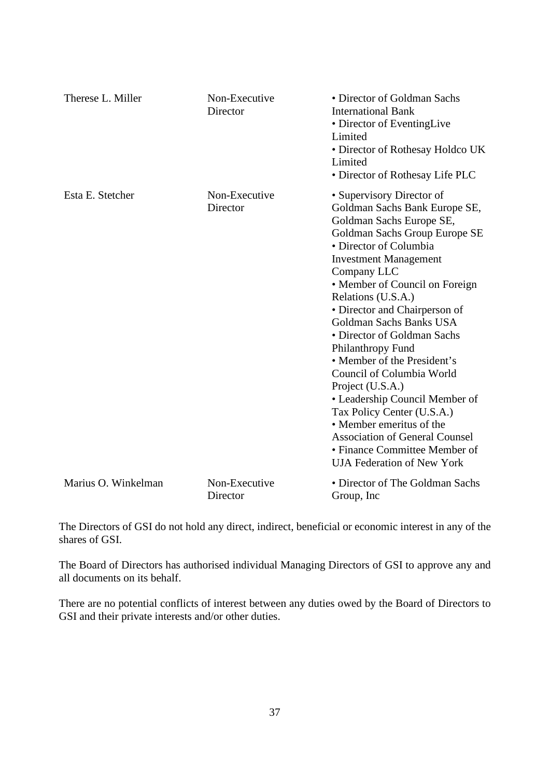| Therese L. Miller   | Non-Executive<br>Director | • Director of Goldman Sachs<br><b>International Bank</b><br>• Director of EventingLive<br>Limited<br>• Director of Rothesay Holdco UK<br>Limited<br>• Director of Rothesay Life PLC                                                                                                                                                                                                                                                                                                                                                                                                                                                                                 |
|---------------------|---------------------------|---------------------------------------------------------------------------------------------------------------------------------------------------------------------------------------------------------------------------------------------------------------------------------------------------------------------------------------------------------------------------------------------------------------------------------------------------------------------------------------------------------------------------------------------------------------------------------------------------------------------------------------------------------------------|
| Esta E. Stetcher    | Non-Executive<br>Director | • Supervisory Director of<br>Goldman Sachs Bank Europe SE,<br>Goldman Sachs Europe SE,<br>Goldman Sachs Group Europe SE<br>• Director of Columbia<br><b>Investment Management</b><br>Company LLC<br>• Member of Council on Foreign<br>Relations (U.S.A.)<br>• Director and Chairperson of<br>Goldman Sachs Banks USA<br>• Director of Goldman Sachs<br>Philanthropy Fund<br>• Member of the President's<br>Council of Columbia World<br>Project (U.S.A.)<br>• Leadership Council Member of<br>Tax Policy Center (U.S.A.)<br>• Member emeritus of the<br><b>Association of General Counsel</b><br>• Finance Committee Member of<br><b>UJA Federation of New York</b> |
| Marius O. Winkelman | Non-Executive<br>Director | • Director of The Goldman Sachs<br>Group, Inc.                                                                                                                                                                                                                                                                                                                                                                                                                                                                                                                                                                                                                      |

The Directors of GSI do not hold any direct, indirect, beneficial or economic interest in any of the shares of GSI.

The Board of Directors has authorised individual Managing Directors of GSI to approve any and all documents on its behalf.

There are no potential conflicts of interest between any duties owed by the Board of Directors to GSI and their private interests and/or other duties.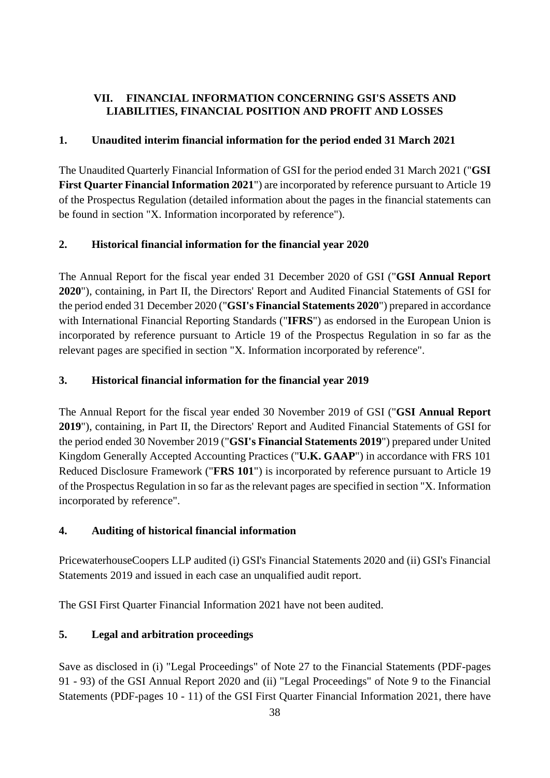# <span id="page-37-0"></span>**VII. FINANCIAL INFORMATION CONCERNING GSI'S ASSETS AND LIABILITIES, FINANCIAL POSITION AND PROFIT AND LOSSES**

## <span id="page-37-1"></span>**1. Unaudited interim financial information for the period ended 31 March 2021**

The Unaudited Quarterly Financial Information of GSI for the period ended 31 March 2021 ("**GSI First Quarter Financial Information 2021**") are incorporated by reference pursuant to Article 19 of the Prospectus Regulation (detailed information about the pages in the financial statements can be found in section "X. Information incorporated by reference").

# <span id="page-37-2"></span>**2. Historical financial information for the financial year 2020**

The Annual Report for the fiscal year ended 31 December 2020 of GSI ("**GSI Annual Report 2020**"), containing, in Part II, the Directors' Report and Audited Financial Statements of GSI for the period ended 31 December 2020 ("**GSI's Financial Statements 2020**") prepared in accordance with International Financial Reporting Standards ("**IFRS**") as endorsed in the European Union is incorporated by reference pursuant to Article 19 of the Prospectus Regulation in so far as the relevant pages are specified in section "X. Information incorporated by reference".

## <span id="page-37-3"></span>**3. Historical financial information for the financial year 2019**

The Annual Report for the fiscal year ended 30 November 2019 of GSI ("**GSI Annual Report 2019**"), containing, in Part II, the Directors' Report and Audited Financial Statements of GSI for the period ended 30 November 2019 ("**GSI's Financial Statements 2019**") prepared under United Kingdom Generally Accepted Accounting Practices ("**U.K. GAAP**") in accordance with FRS 101 Reduced Disclosure Framework ("**FRS 101**") is incorporated by reference pursuant to Article 19 of the Prospectus Regulation in so far as the relevant pages are specified in section "X. Information incorporated by reference".

# <span id="page-37-4"></span>**4. Auditing of historical financial information**

PricewaterhouseCoopers LLP audited (i) GSI's Financial Statements 2020 and (ii) GSI's Financial Statements 2019 and issued in each case an unqualified audit report.

The GSI First Quarter Financial Information 2021 have not been audited.

# <span id="page-37-5"></span>**5. Legal and arbitration proceedings**

Save as disclosed in (i) "Legal Proceedings" of Note 27 to the Financial Statements (PDF-pages 91 - 93) of the GSI Annual Report 2020 and (ii) "Legal Proceedings" of Note 9 to the Financial Statements (PDF-pages 10 - 11) of the GSI First Quarter Financial Information 2021, there have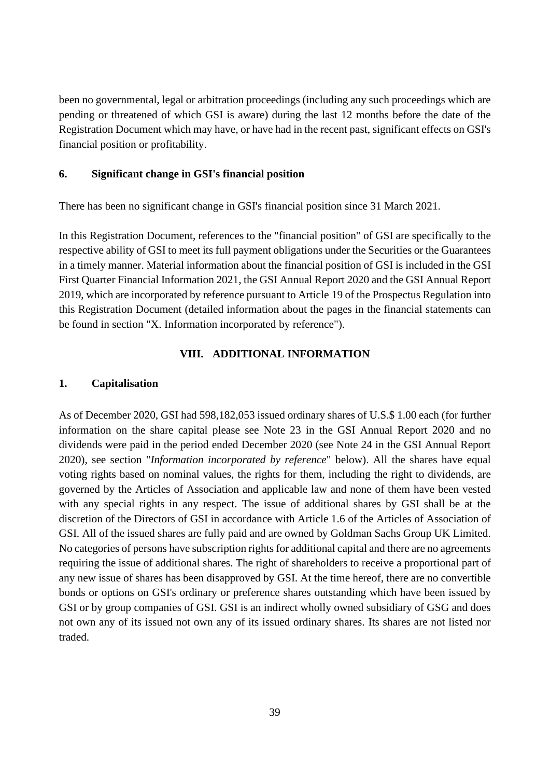been no governmental, legal or arbitration proceedings (including any such proceedings which are pending or threatened of which GSI is aware) during the last 12 months before the date of the Registration Document which may have, or have had in the recent past, significant effects on GSI's financial position or profitability.

#### <span id="page-38-0"></span>**6. Significant change in GSI's financial position**

There has been no significant change in GSI's financial position since 31 March 2021.

In this Registration Document, references to the "financial position" of GSI are specifically to the respective ability of GSI to meet its full payment obligations under the Securities or the Guarantees in a timely manner. Material information about the financial position of GSI is included in the GSI First Quarter Financial Information 2021, the GSI Annual Report 2020 and the GSI Annual Report 2019, which are incorporated by reference pursuant to Article 19 of the Prospectus Regulation into this Registration Document (detailed information about the pages in the financial statements can be found in section "X. Information incorporated by reference").

## **VIII. ADDITIONAL INFORMATION**

## <span id="page-38-2"></span><span id="page-38-1"></span>**1. Capitalisation**

As of December 2020, GSI had 598,182,053 issued ordinary shares of U.S.\$ 1.00 each (for further information on the share capital please see Note 23 in the GSI Annual Report 2020 and no dividends were paid in the period ended December 2020 (see Note 24 in the GSI Annual Report 2020), see section "*Information incorporated by reference*" below). All the shares have equal voting rights based on nominal values, the rights for them, including the right to dividends, are governed by the Articles of Association and applicable law and none of them have been vested with any special rights in any respect. The issue of additional shares by GSI shall be at the discretion of the Directors of GSI in accordance with Article 1.6 of the Articles of Association of GSI. All of the issued shares are fully paid and are owned by Goldman Sachs Group UK Limited. No categories of persons have subscription rights for additional capital and there are no agreements requiring the issue of additional shares. The right of shareholders to receive a proportional part of any new issue of shares has been disapproved by GSI. At the time hereof, there are no convertible bonds or options on GSI's ordinary or preference shares outstanding which have been issued by GSI or by group companies of GSI. GSI is an indirect wholly owned subsidiary of GSG and does not own any of its issued not own any of its issued ordinary shares. Its shares are not listed nor traded.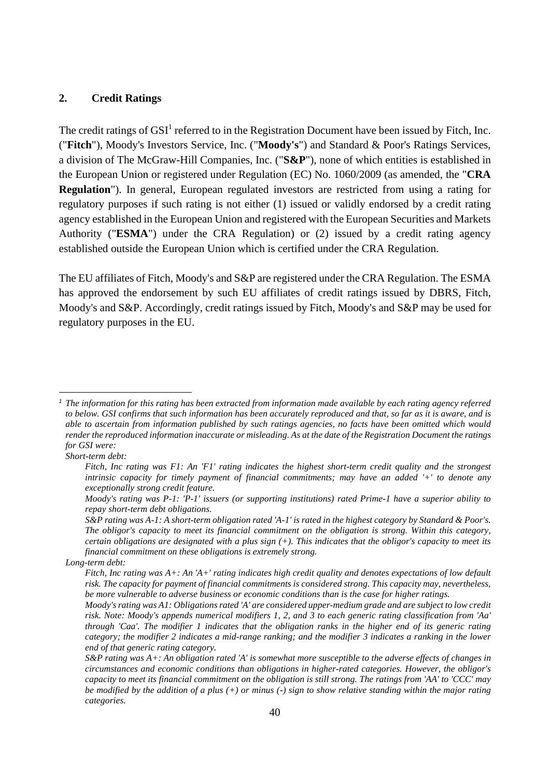## <span id="page-39-0"></span>**2. Credit Ratings**

The credit ratings of  $GSI<sup>1</sup>$  $GSI<sup>1</sup>$  $GSI<sup>1</sup>$  referred to in the Registration Document have been issued by Fitch, Inc. ("**Fitch**"), Moody's Investors Service, Inc. ("**Moody's**") and Standard & Poor's Ratings Services, a division of The McGraw-Hill Companies, Inc. ("**S&P**"), none of which entities is established in the European Union or registered under Regulation (EC) No. 1060/2009 (as amended, the "**CRA Regulation**"). In general, European regulated investors are restricted from using a rating for regulatory purposes if such rating is not either (1) issued or validly endorsed by a credit rating agency established in the European Union and registered with the European Securities and Markets Authority ("**ESMA**") under the CRA Regulation) or (2) issued by a credit rating agency established outside the European Union which is certified under the CRA Regulation.

The EU affiliates of Fitch, Moody's and S&P are registered under the CRA Regulation. The ESMA has approved the endorsement by such EU affiliates of credit ratings issued by DBRS, Fitch, Moody's and S&P. Accordingly, credit ratings issued by Fitch, Moody's and S&P may be used for regulatory purposes in the EU.

<span id="page-39-1"></span>*<sup>1</sup> The information for this rating has been extracted from information made available by each rating agency referred to below. GSI confirms that such information has been accurately reproduced and that, so far as it is aware, and is able to ascertain from information published by such ratings agencies, no facts have been omitted which would render the reproduced information inaccurate or misleading. As at the date of the Registration Document the ratings for GSI were:* 

*Short-term debt:* 

*Fitch, Inc rating was F1: An 'F1' rating indicates the highest short-term credit quality and the strongest intrinsic capacity for timely payment of financial commitments; may have an added '+' to denote any exceptionally strong credit feature.* 

*Moody's rating was P-1: 'P-1' issuers (or supporting institutions) rated Prime-1 have a superior ability to repay short-term debt obligations.* 

*S&P rating was A-1: A short-term obligation rated 'A-1' is rated in the highest category by Standard & Poor's. The obligor's capacity to meet its financial commitment on the obligation is strong. Within this category, certain obligations are designated with a plus sign (+). This indicates that the obligor's capacity to meet its financial commitment on these obligations is extremely strong.* 

*Long-term debt:* 

*Fitch, Inc rating was A+: An 'A+' rating indicates high credit quality and denotes expectations of low default risk. The capacity for payment of financial commitments is considered strong. This capacity may, nevertheless, be more vulnerable to adverse business or economic conditions than is the case for higher ratings.* 

*Moody's rating was A1: Obligations rated 'A' are considered upper-medium grade and are subject to low credit risk. Note: Moody's appends numerical modifiers 1, 2, and 3 to each generic rating classification from 'Aa' through 'Caa'. The modifier 1 indicates that the obligation ranks in the higher end of its generic rating category; the modifier 2 indicates a mid-range ranking; and the modifier 3 indicates a ranking in the lower end of that generic rating category.* 

*S&P rating was A+: An obligation rated 'A' is somewhat more susceptible to the adverse effects of changes in circumstances and economic conditions than obligations in higher-rated categories. However, the obligor's capacity to meet its financial commitment on the obligation is still strong. The ratings from 'AA' to 'CCC' may be modified by the addition of a plus (+) or minus (-) sign to show relative standing within the major rating categories.*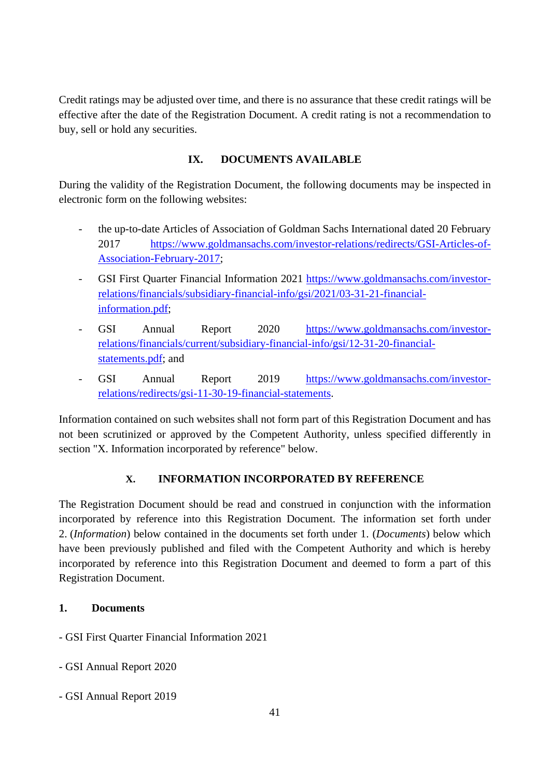Credit ratings may be adjusted over time, and there is no assurance that these credit ratings will be effective after the date of the Registration Document. A credit rating is not a recommendation to buy, sell or hold any securities.

# **IX. DOCUMENTS AVAILABLE**

<span id="page-40-0"></span>During the validity of the Registration Document, the following documents may be inspected in electronic form on the following websites:

- the up-to-date Articles of Association of Goldman Sachs International dated 20 February 2017 [https://www.goldmansachs.com/investor-relations/redirects/GSI-Articles-of-](https://www.goldmansachs.com/investor-relations/redirects/GSI-Articles-of-Association-February-2017)[Association-February-2017;](https://www.goldmansachs.com/investor-relations/redirects/GSI-Articles-of-Association-February-2017)
- GSI First Quarter Financial Information 2021 [https://www.goldmansachs.com/investor](https://www.goldmansachs.com/investor-relations/financials/subsidiary-financial-info/gsi/2021/03-31-21-financial-information.pdf)[relations/financials/subsidiary-financial-info/gsi/2021/03-31-21-financial](https://www.goldmansachs.com/investor-relations/financials/subsidiary-financial-info/gsi/2021/03-31-21-financial-information.pdf)[information.pdf;](https://www.goldmansachs.com/investor-relations/financials/subsidiary-financial-info/gsi/2021/03-31-21-financial-information.pdf)
- GSI Annual Report 2020 [https://www.goldmansachs.com/investor](https://www.goldmansachs.com/investor-relations/financials/current/subsidiary-financial-info/gsi/12-31-20-financial-statements.pdf)[relations/financials/current/subsidiary-financial-info/gsi/12-31-20-financial](https://www.goldmansachs.com/investor-relations/financials/current/subsidiary-financial-info/gsi/12-31-20-financial-statements.pdf)[statements.pdf; and](https://www.goldmansachs.com/investor-relations/financials/current/subsidiary-financial-info/gsi/12-31-20-financial-statements.pdf)
- GSI Annual Report 2019 [https://www.goldmansachs.com/investor](https://www.goldmansachs.com/investor-relations/redirects/gsi-11-30-19-financial-statements)[relations/redirects/gsi-11-30-19-financial-statements.](https://www.goldmansachs.com/investor-relations/redirects/gsi-11-30-19-financial-statements)

Information contained on such websites shall not form part of this Registration Document and has not been scrutinized or approved by the Competent Authority, unless specified differently in section "X. Information incorporated by reference" below.

# **X. INFORMATION INCORPORATED BY REFERENCE**

<span id="page-40-1"></span>The Registration Document should be read and construed in conjunction with the information incorporated by reference into this Registration Document. The information set forth under 2. (*Information*) below contained in the documents set forth under 1. (*Documents*) below which have been previously published and filed with the Competent Authority and which is hereby incorporated by reference into this Registration Document and deemed to form a part of this Registration Document.

# <span id="page-40-2"></span>**1. Documents**

- GSI First Quarter Financial Information 2021
- GSI Annual Report 2020
- GSI Annual Report 2019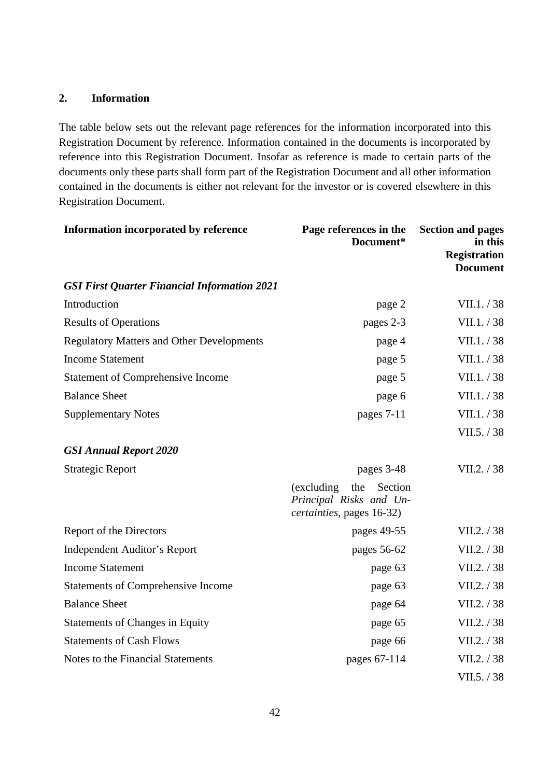## <span id="page-41-0"></span>**2. Information**

The table below sets out the relevant page references for the information incorporated into this Registration Document by reference. Information contained in the documents is incorporated by reference into this Registration Document. Insofar as reference is made to certain parts of the documents only these parts shall form part of the Registration Document and all other information contained in the documents is either not relevant for the investor or is covered elsewhere in this Registration Document.

| Information incorporated by reference               | Page references in the<br>Document*                                                   | <b>Section and pages</b><br>in this<br><b>Registration</b><br><b>Document</b> |
|-----------------------------------------------------|---------------------------------------------------------------------------------------|-------------------------------------------------------------------------------|
| <b>GSI First Quarter Financial Information 2021</b> |                                                                                       |                                                                               |
| Introduction                                        | page 2                                                                                | VII.1. / 38                                                                   |
| <b>Results of Operations</b>                        | pages 2-3                                                                             | VII.1. / 38                                                                   |
| <b>Regulatory Matters and Other Developments</b>    | page 4                                                                                | VII.1. / 38                                                                   |
| <b>Income Statement</b>                             | page 5                                                                                | VII.1. / 38                                                                   |
| <b>Statement of Comprehensive Income</b>            | page 5                                                                                | VII.1. / 38                                                                   |
| <b>Balance Sheet</b>                                | page 6                                                                                | VII.1. / 38                                                                   |
| <b>Supplementary Notes</b>                          | pages 7-11                                                                            | VII.1. / 38                                                                   |
|                                                     |                                                                                       | VII.5. / 38                                                                   |
| <b>GSI Annual Report 2020</b>                       |                                                                                       |                                                                               |
| <b>Strategic Report</b>                             | pages 3-48                                                                            | VII.2. / 38                                                                   |
|                                                     | (excluding)<br>the<br>Section<br>Principal Risks and Un-<br>certainties, pages 16-32) |                                                                               |
| Report of the Directors                             | pages 49-55                                                                           | VII.2. / 38                                                                   |
| <b>Independent Auditor's Report</b>                 | pages 56-62                                                                           | VII.2. / 38                                                                   |
| <b>Income Statement</b>                             | page 63                                                                               | VII.2. / 38                                                                   |
| <b>Statements of Comprehensive Income</b>           | page 63                                                                               | VII.2. / 38                                                                   |
| <b>Balance Sheet</b>                                | page 64                                                                               | VII.2. / 38                                                                   |
| <b>Statements of Changes in Equity</b>              | page 65                                                                               | VII.2. / 38                                                                   |
| <b>Statements of Cash Flows</b>                     | page 66                                                                               | VII.2. / 38                                                                   |
| Notes to the Financial Statements                   | pages 67-114                                                                          | VII.2. / 38                                                                   |
|                                                     |                                                                                       | VII.5. / 38                                                                   |